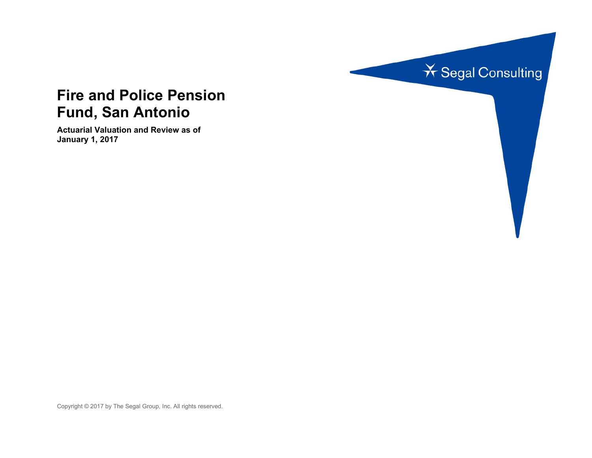

# **Fire and Police Pension Fund, San Antonio**

**Actuarial Valuation and Review as of January 1, 2017** 

Copyright © 2017 by The Segal Group, Inc. All rights reserved.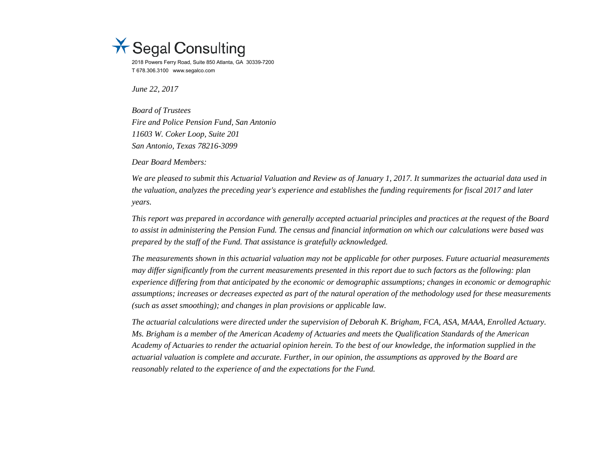

2018 Powers Ferry Road, Suite 850 Atlanta, GA 30339-7200 T 678.306.3100 www.segalco.com

*June 22, 2017* 

*Board of Trustees Fire and Police Pension Fund, San Antonio 11603 W. Coker Loop, Suite 201 San Antonio, Texas 78216-3099* 

*Dear Board Members:* 

*We are pleased to submit this Actuarial Valuation and Review as of January 1, 2017. It summarizes the actuarial data used in the valuation, analyzes the preceding year's experience and establishes the funding requirements for fiscal 2017 and later years.* 

*This report was prepared in accordance with generally accepted actuarial principles and practices at the request of the Board to assist in administering the Pension Fund. The census and financial information on which our calculations were based was prepared by the staff of the Fund. That assistance is gratefully acknowledged.* 

*The measurements shown in this actuarial valuation may not be applicable for other purposes. Future actuarial measurements may differ significantly from the current measurements presented in this report due to such factors as the following: plan experience differing from that anticipated by the economic or demographic assumptions; changes in economic or demographic assumptions; increases or decreases expected as part of the natural operation of the methodology used for these measurements (such as asset smoothing); and changes in plan provisions or applicable law.* 

*The actuarial calculations were directed under the supervision of Deborah K. Brigham, FCA, ASA, MAAA, Enrolled Actuary. Ms. Brigham is a member of the American Academy of Actuaries and meets the Qualification Standards of the American Academy of Actuaries to render the actuarial opinion herein. To the best of our knowledge, the information supplied in the actuarial valuation is complete and accurate. Further, in our opinion, the assumptions as approved by the Board are reasonably related to the experience of and the expectations for the Fund.*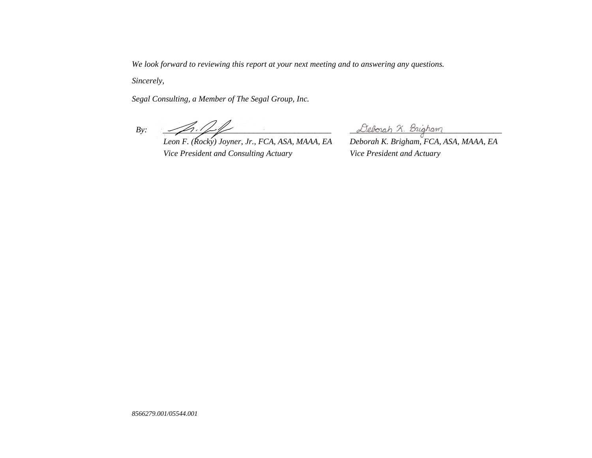*We look forward to reviewing this report at your next meeting and to answering any questions.* 

*Sincerely,* 

*Segal Consulting, a Member of The Segal Group, Inc.* 

 $By: \begin{equation*} \begin{equation*} By: \begin{equation*} \begin{equation*} \begin{equation*} \begin{bmatrix} \mathcal{D}_{1} & \mathcal{D}_{2} \\ \mathcal{D}_{3} & \mathcal{D}_{4} \end{bmatrix} & \mathcal{D}_{4} \end{bmatrix} & \mathcal{D}_{5} \end{equation*} \end{equation*} \end{equation*} \end{equation*} \end{equation*} \begin{equation*} \begin{equation*} \begin{bmatrix} \mathcal{D}_{2} & \mathcal{D}_{3} \\ \mathcal{D}_{4} & \mathcal{D}_{5} \end{bmatrix} & \mathcal{D}_{6} \end{equ$ 

*Leon F. (Rocky) Joyner, Jr., FCA, ASA, MAAA, EA Deborah K. Brigham, FCA, ASA, MAAA, EA Vice President and Consulting Actuary Vice President and Actuary*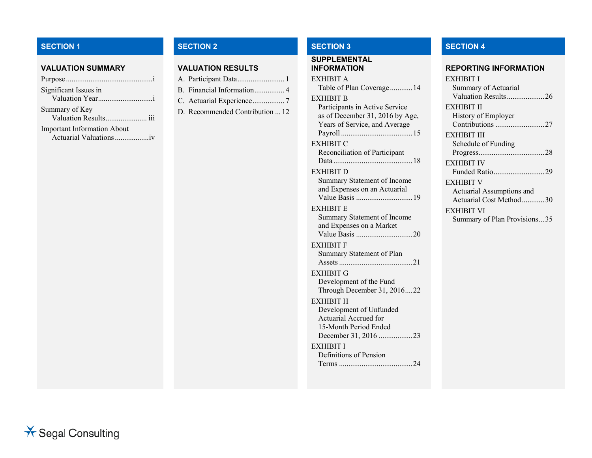## **SECTION 1**

### **VALUATION SUMMARY**

| Significant Issues in              |
|------------------------------------|
|                                    |
| Summary of Key                     |
| Valuation Results iii              |
| <b>Important Information About</b> |
| Actuarial Valuations iv            |

### **VALUATION RESULTS**

| A. Participant Data 1           |  |
|---------------------------------|--|
| B. Financial Information 4      |  |
| C. Actuarial Experience7        |  |
| D. Recommended Contribution  12 |  |

# **SUPPLEMENTAL**

| EXHIBIT A                       |
|---------------------------------|
| Table of Plan Coverage 14       |
| EXHIBIT B                       |
| Participants in Active Service  |
| as of December 31, 2016 by Age, |
| Years of Service, and Average   |
|                                 |
| EXHIBIT C                       |
| Reconciliation of Participant   |
|                                 |
| <b>EXHIBIT D</b>                |
| Summary Statement of Income     |
| and Expenses on an Actuarial    |
|                                 |
| EXHIBIT E                       |
| Summary Statement of Income     |
| and Expenses on a Market        |
|                                 |
| EXHIBIT F                       |
| Summary Statement of Plan       |
| Assets                          |
| EXHIBIT G                       |
| Development of the Fund         |
| Through December 31, 201622     |
| EXHIBIT H                       |
| Development of Unfunded         |
| <b>Actuarial Accrued for</b>    |
| 15-Month Period Ended           |
| December 31, 2016 23            |
| EXHIBIT I                       |
| Definitions of Pension          |
|                                 |
|                                 |

## **SECTION 2 SECTION 3 SECTION 4**

#### **INFORMATION REPORTING INFORMATION**

| EXHIBIT I                    |
|------------------------------|
| Summary of Actuarial         |
| Valuation Results26          |
| EXHIBIT II                   |
| History of Employer          |
| Contributions 27             |
| EXHIBIT III                  |
| Schedule of Funding          |
|                              |
| <b>EXHIBIT IV</b>            |
| Funded Ratio29               |
| <b>EXHIBIT V</b>             |
| Actuarial Assumptions and    |
| Actuarial Cost Method30      |
| <b>EXHIBIT VI</b>            |
| Summary of Plan Provisions35 |

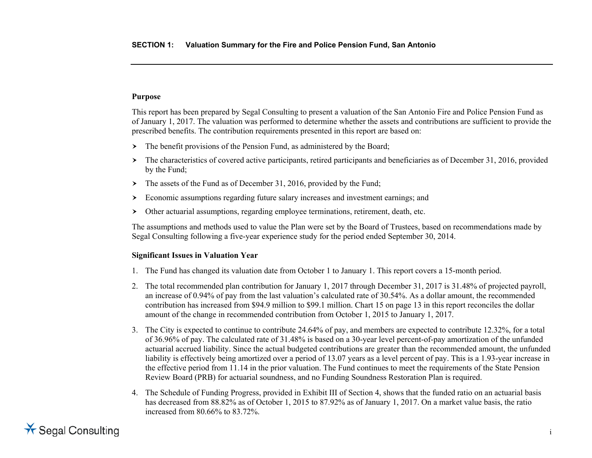### **Purpose**

This report has been prepared by Segal Consulting to present a valuation of the San Antonio Fire and Police Pension Fund as of January 1, 2017. The valuation was performed to determine whether the assets and contributions are sufficient to provide the prescribed benefits. The contribution requirements presented in this report are based on:

- The benefit provisions of the Pension Fund, as administered by the Board;
- The characteristics of covered active participants, retired participants and beneficiaries as of December 31, 2016, provided by the Fund;
- The assets of the Fund as of December 31, 2016, provided by the Fund;
- Economic assumptions regarding future salary increases and investment earnings; and
- $\blacktriangleright$ Other actuarial assumptions, regarding employee terminations, retirement, death, etc.

The assumptions and methods used to value the Plan were set by the Board of Trustees, based on recommendations made by Segal Consulting following a five-year experience study for the period ended September 30, 2014.

### **Significant Issues in Valuation Year**

- 1. The Fund has changed its valuation date from October 1 to January 1. This report covers a 15-month period.
- 2. The total recommended plan contribution for January 1, 2017 through December 31, 2017 is 31.48% of projected payroll, an increase of 0.94% of pay from the last valuation's calculated rate of 30.54%. As a dollar amount, the recommended contribution has increased from \$94.9 million to \$99.1 million. Chart 15 on page 13 in this report reconciles the dollar amount of the change in recommended contribution from October 1, 2015 to January 1, 2017.
- 3. The City is expected to continue to contribute 24.64% of pay, and members are expected to contribute 12.32%, for a total of 36.96% of pay. The calculated rate of 31.48% is based on a 30-year level percent-of-pay amortization of the unfunded actuarial accrued liability. Since the actual budgeted contributions are greater than the recommended amount, the unfunded liability is effectively being amortized over a period of 13.07 years as a level percent of pay. This is a 1.93-year increase in the effective period from 11.14 in the prior valuation. The Fund continues to meet the requirements of the State Pension Review Board (PRB) for actuarial soundness, and no Funding Soundness Restoration Plan is required.
- 4. The Schedule of Funding Progress, provided in Exhibit III of Section 4, shows that the funded ratio on an actuarial basis has decreased from 88.82% as of October 1, 2015 to 87.92% as of January 1, 2017. On a market value basis, the ratio increased from 80.66% to 83.72%.

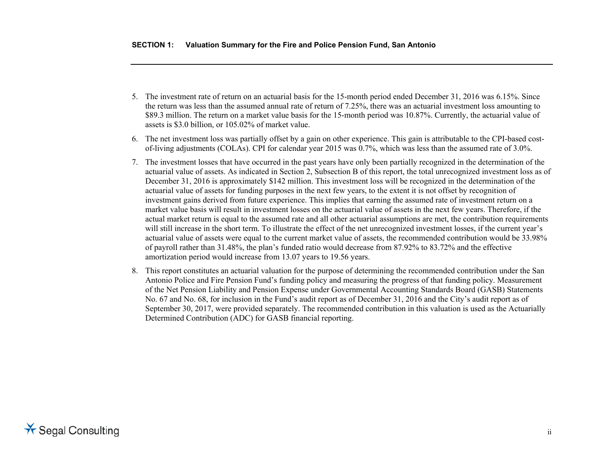- 5. The investment rate of return on an actuarial basis for the 15-month period ended December 31, 2016 was 6.15%. Since the return was less than the assumed annual rate of return of 7.25%, there was an actuarial investment loss amounting to \$89.3 million. The return on a market value basis for the 15-month period was 10.87%. Currently, the actuarial value of assets is \$3.0 billion, or 105.02% of market value.
- 6. The net investment loss was partially offset by a gain on other experience. This gain is attributable to the CPI-based costof-living adjustments (COLAs). CPI for calendar year 2015 was 0.7%, which was less than the assumed rate of 3.0%.
- 7. The investment losses that have occurred in the past years have only been partially recognized in the determination of the actuarial value of assets. As indicated in Section 2, Subsection B of this report, the total unrecognized investment loss as of December 31, 2016 is approximately \$142 million. This investment loss will be recognized in the determination of the actuarial value of assets for funding purposes in the next few years, to the extent it is not offset by recognition of investment gains derived from future experience. This implies that earning the assumed rate of investment return on a market value basis will result in investment losses on the actuarial value of assets in the next few years. Therefore, if the actual market return is equal to the assumed rate and all other actuarial assumptions are met, the contribution requirements will still increase in the short term. To illustrate the effect of the net unrecognized investment losses, if the current year's actuarial value of assets were equal to the current market value of assets, the recommended contribution would be 33.98% of payroll rather than 31.48%, the plan's funded ratio would decrease from 87.92% to 83.72% and the effective amortization period would increase from 13.07 years to 19.56 years.
- 8. This report constitutes an actuarial valuation for the purpose of determining the recommended contribution under the San Antonio Police and Fire Pension Fund's funding policy and measuring the progress of that funding policy. Measurement of the Net Pension Liability and Pension Expense under Governmental Accounting Standards Board (GASB) Statements No. 67 and No. 68, for inclusion in the Fund's audit report as of December 31, 2016 and the City's audit report as of September 30, 2017, were provided separately. The recommended contribution in this valuation is used as the Actuarially Determined Contribution (ADC) for GASB financial reporting.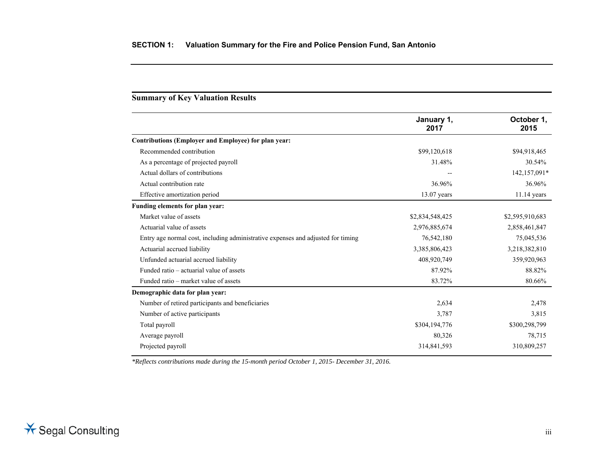### **Summary of Key Valuation Results**

|                                                                                  | January 1,<br>2017 | October 1.<br>2015 |
|----------------------------------------------------------------------------------|--------------------|--------------------|
| Contributions (Employer and Employee) for plan year:                             |                    |                    |
| Recommended contribution                                                         | \$99,120,618       | \$94,918,465       |
| As a percentage of projected payroll                                             | 31.48%             | 30.54%             |
| Actual dollars of contributions                                                  |                    | 142,157,091*       |
| Actual contribution rate                                                         | 36.96%             | 36.96%             |
| Effective amortization period                                                    | 13.07 years        | 11.14 years        |
| Funding elements for plan year:                                                  |                    |                    |
| Market value of assets                                                           | \$2,834,548,425    | \$2,595,910,683    |
| Actuarial value of assets                                                        | 2,976,885,674      | 2,858,461,847      |
| Entry age normal cost, including administrative expenses and adjusted for timing | 76,542,180         | 75,045,536         |
| Actuarial accrued liability                                                      | 3,385,806,423      | 3,218,382,810      |
| Unfunded actuarial accrued liability                                             | 408,920,749        | 359,920,963        |
| Funded ratio – actuarial value of assets                                         | 87.92%             | 88.82%             |
| Funded ratio – market value of assets                                            | 83.72%             | 80.66%             |
| Demographic data for plan year:                                                  |                    |                    |
| Number of retired participants and beneficiaries                                 | 2,634              | 2,478              |
| Number of active participants                                                    | 3,787              | 3,815              |
| Total payroll                                                                    | \$304,194,776      | \$300,298,799      |
| Average payroll                                                                  | 80,326             | 78,715             |
| Projected payroll                                                                | 314,841,593        | 310,809,257        |

*\*Reflects contributions made during the 15-month period October 1, 2015- December 31, 2016.*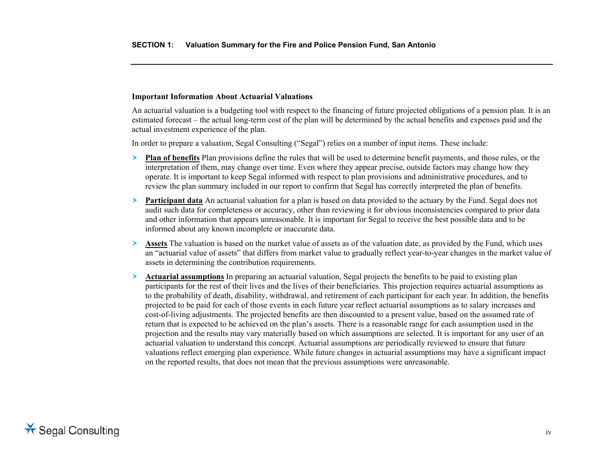#### **Important Information About Actuarial Valuations**

An actuarial valuation is a budgeting tool with respect to the financing of future projected obligations of a pension plan. It is an estimated forecast – the actual long-term cost of the plan will be determined by the actual benefits and expenses paid and the actual investment experience of the plan.

In order to prepare a valuation, Segal Consulting ("Segal") relies on a number of input items. These include:

- ≻ **Plan of benefits** Plan provisions define the rules that will be used to determine benefit payments, and those rules, or the interpretation of them, may change over time. Even where they appear precise, outside factors may change how they operate. It is important to keep Segal informed with respect to plan provisions and administrative procedures, and to review the plan summary included in our report to confirm that Segal has correctly interpreted the plan of benefits.
- $\blacktriangleright$  **Participant data** An actuarial valuation for a plan is based on data provided to the actuary by the Fund. Segal does not audit such data for completeness or accuracy, other than reviewing it for obvious inconsistencies compared to prior data and other information that appears unreasonable. It is important for Segal to receive the best possible data and to be informed about any known incomplete or inaccurate data.
- ➤ **Assets** The valuation is based on the market value of assets as of the valuation date, as provided by the Fund, which uses an "actuarial value of assets" that differs from market value to gradually reflect year-to-year changes in the market value of assets in determining the contribution requirements.
- ≻ **Actuarial assumptions** In preparing an actuarial valuation, Segal projects the benefits to be paid to existing plan participants for the rest of their lives and the lives of their beneficiaries. This projection requires actuarial assumptions as to the probability of death, disability, withdrawal, and retirement of each participant for each year. In addition, the benefits projected to be paid for each of those events in each future year reflect actuarial assumptions as to salary increases and cost-of-living adjustments. The projected benefits are then discounted to a present value, based on the assumed rate of return that is expected to be achieved on the plan's assets. There is a reasonable range for each assumption used in the projection and the results may vary materially based on which assumptions are selected. It is important for any user of an actuarial valuation to understand this concept. Actuarial assumptions are periodically reviewed to ensure that future valuations reflect emerging plan experience. While future changes in actuarial assumptions may have a significant impact on the reported results, that does not mean that the previous assumptions were unreasonable.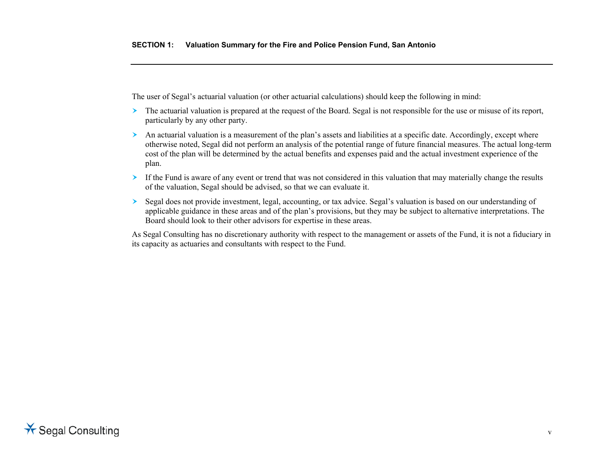The user of Segal's actuarial valuation (or other actuarial calculations) should keep the following in mind:

- The actuarial valuation is prepared at the request of the Board. Segal is not responsible for the use or misuse of its report, particularly by any other party.
- An actuarial valuation is a measurement of the plan's assets and liabilities at a specific date. Accordingly, except where otherwise noted, Segal did not perform an analysis of the potential range of future financial measures. The actual long-term cost of the plan will be determined by the actual benefits and expenses paid and the actual investment experience of the plan.
- If the Fund is aware of any event or trend that was not considered in this valuation that may materially change the results of the valuation, Segal should be advised, so that we can evaluate it.
- $\blacktriangleright$  Segal does not provide investment, legal, accounting, or tax advice. Segal's valuation is based on our understanding of applicable guidance in these areas and of the plan's provisions, but they may be subject to alternative interpretations. The Board should look to their other advisors for expertise in these areas.

As Segal Consulting has no discretionary authority with respect to the management or assets of the Fund, it is not a fiduciary in its capacity as actuaries and consultants with respect to the Fund.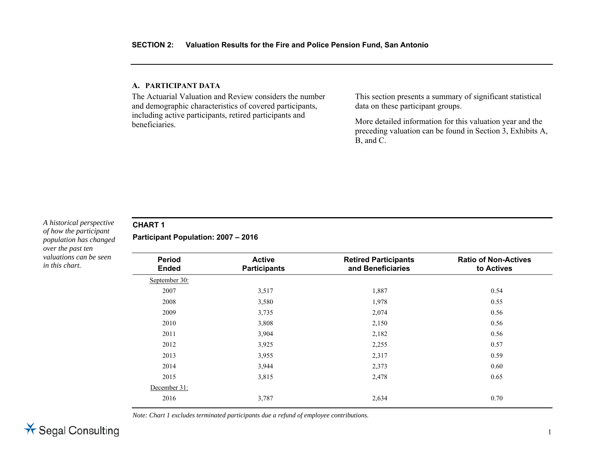### **A. PARTICIPANT DATA**

The Actuarial Valuation and Review considers the number and demographic characteristics of covered participants, including active participants, retired participants and beneficiaries.

This section presents a summary of significant statistical data on these participant groups.

More detailed information for this valuation year and the preceding valuation can be found in Section 3, Exhibits A, B, and C.

### *A historical perspective of how the participant population has changed over the past ten valuations can be seen in this chart.*

# **CHART 1**

**Participant Population: 2007 – 2016** 

| <b>Period</b><br><b>Ended</b> | <b>Active</b><br><b>Participants</b> | <b>Retired Participants</b><br>and Beneficiaries | <b>Ratio of Non-Actives</b><br>to Actives |
|-------------------------------|--------------------------------------|--------------------------------------------------|-------------------------------------------|
| September 30:                 |                                      |                                                  |                                           |
| 2007                          | 3,517                                | 1,887                                            | 0.54                                      |
| 2008                          | 3,580                                | 1,978                                            | 0.55                                      |
| 2009                          | 3,735                                | 2,074                                            | 0.56                                      |
| 2010                          | 3,808                                | 2,150                                            | 0.56                                      |
| 2011                          | 3,904                                | 2,182                                            | 0.56                                      |
| 2012                          | 3,925                                | 2,255                                            | 0.57                                      |
| 2013                          | 3,955                                | 2,317                                            | 0.59                                      |
| 2014                          | 3,944                                | 2,373                                            | 0.60                                      |
| 2015                          | 3,815                                | 2,478                                            | 0.65                                      |
| December 31:                  |                                      |                                                  |                                           |
| 2016                          | 3,787                                | 2,634                                            | 0.70                                      |

*Note: Chart 1 excludes terminated participants due a refund of employee contributions.*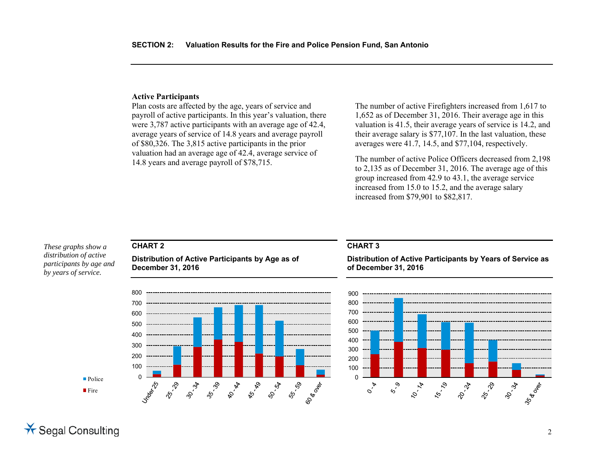### **Active Participants**

Plan costs are affected by the age, years of service and payroll of active participants. In this year's valuation, there were 3,787 active participants with an average age of 42.4, average years of service of 14.8 years and average payroll of \$80,326. The 3,815 active participants in the prior valuation had an average age of 42.4, average service of 14.8 years and average payroll of \$78,715.

The number of active Firefighters increased from 1,617 to 1,652 as of December 31, 2016. Their average age in this valuation is 41.5, their average years of service is 14.2, and their average salary is \$77,107. In the last valuation, these averages were 41.7, 14.5, and \$77,104, respectively.

The number of active Police Officers decreased from 2,198 to 2,135 as of December 31, 2016. The average age of this group increased from 42.9 to 43.1, the average service increased from 15.0 to 15.2, and the average salary increased from \$79,901 to \$82,817.

### *These graphs show a distribution of active participants by age and by years of service.*

### **CHART 2**

**Distribution of Active Participants by Age as of December 31, 2016** 



### **CHART 3**

**Distribution of Active Participants by Years of Service as of December 31, 2016** 



■ Fire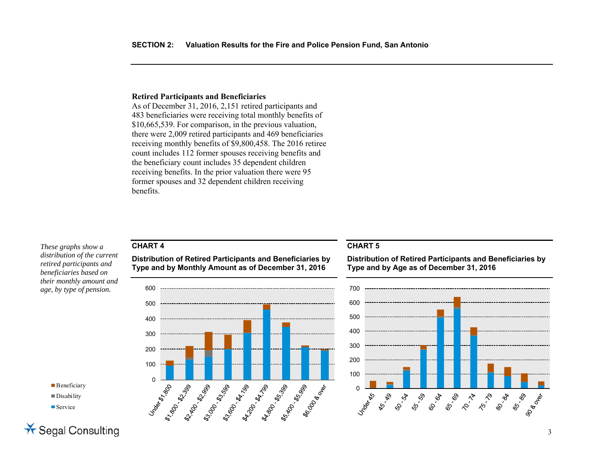### **Retired Participants and Beneficiaries**

As of December 31, 2016, 2,151 retired participants and 483 beneficiaries were receiving total monthly benefits of \$10,665,539. For comparison, in the previous valuation, there were 2,009 retired participants and 469 beneficiaries receiving monthly benefits of \$9,800,458. The 2016 retiree count includes 112 former spouses receiving benefits and the beneficiary count includes 35 dependent children receiving benefits. In the prior valuation there were 95 former spouses and 32 dependent children receiving benefits.

### **CHART 4**

*These graphs show a distribution of the current retired participants and beneficiaries based on their monthly amount and age, by type of pension.* 

# **Distribution of Retired Participants and Beneficiaries by**

**Type and by Monthly Amount as of December 31, 2016** 



### **CHART 5**

**Distribution of Retired Participants and Beneficiaries by Type and by Age as of December 31, 2016** 



**Beneficiary** Disability ■ Service

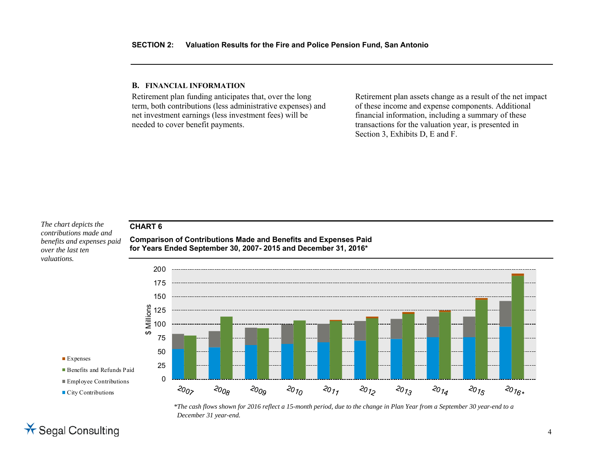### **B. FINANCIAL INFORMATION**

Retirement plan funding anticipates that, over the long term, both contributions (less administrative expenses) and net investment earnings (less investment fees) will be needed to cover benefit payments.

Retirement plan assets change as a result of the net impact of these income and expense components. Additional financial information, including a summary of these transactions for the valuation year, is presented in Section 3, Exhibits D, E and F.

### **CHART 6**

*The chart depicts the contributions made and benefits and expenses paid over the last ten valuations.* 

**Comparison of Contributions Made and Benefits and Expenses Paid for Years Ended September 30, 2007- 2015 and December 31, 2016\***



- Expenses
- Benefits and Refunds Paid
- Employee Contributions
- City Contributions



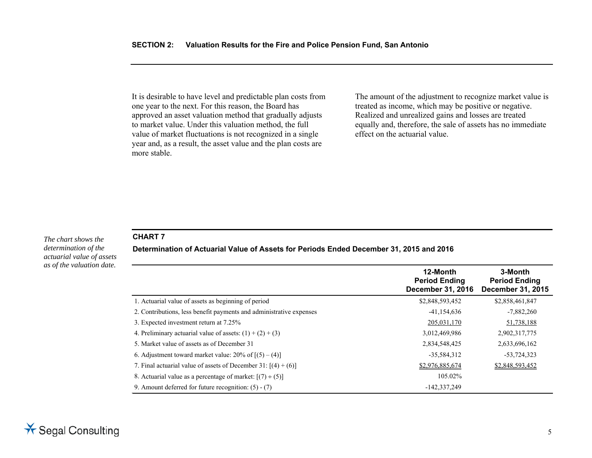It is desirable to have level and predictable plan costs from one year to the next. For this reason, the Board has approved an asset valuation method that gradually adjusts to market value. Under this valuation method, the full value of market fluctuations is not recognized in a single year and, as a result, the asset value and the plan costs are more stable.

The amount of the adjustment to recognize market value is treated as income, which may be positive or negative. Realized and unrealized gains and losses are treated equally and, therefore, the sale of assets has no immediate effect on the actuarial value.

#### *The chart shows the determination of the actuarial value of assets as of the valuation date.*

### **CHART 7**

**Determination of Actuarial Value of Assets for Periods Ended December 31, 2015 and 2016** 

|                                                                     | 12-Month<br><b>Period Ending</b><br><b>December 31, 2016</b> | 3-Month<br><b>Period Ending</b><br>December 31, 2015 |
|---------------------------------------------------------------------|--------------------------------------------------------------|------------------------------------------------------|
| 1. Actuarial value of assets as beginning of period                 | \$2,848,593,452                                              | \$2,858,461,847                                      |
| 2. Contributions, less benefit payments and administrative expenses | $-41,154,636$                                                | $-7,882,260$                                         |
| 3. Expected investment return at 7.25%                              | 205,031,170                                                  | 51,738,188                                           |
| 4. Preliminary actuarial value of assets: $(1) + (2) + (3)$         | 3,012,469,986                                                | 2,902,317,775                                        |
| 5. Market value of assets as of December 31                         | 2,834,548,425                                                | 2,633,696,162                                        |
| 6. Adjustment toward market value: $20\%$ of $[(5) - (4)]$          | $-35,584,312$                                                | $-53,724,323$                                        |
| 7. Final actuarial value of assets of December 31: $[(4) + (6)]$    | \$2,976,885,674                                              | \$2,848,593,452                                      |
| 8. Actuarial value as a percentage of market: $[(7) \div (5)]$      | 105.02%                                                      |                                                      |
| 9. Amount deferred for future recognition: $(5) - (7)$              | -142,337,249                                                 |                                                      |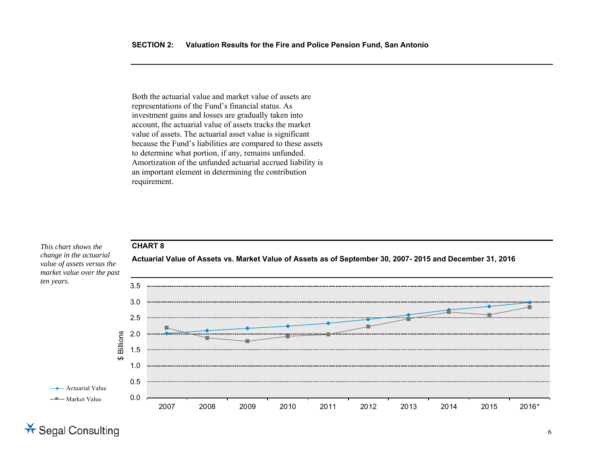Both the actuarial value and market value of assets are representations of the Fund's financial status. As investment gains and losses are gradually taken into account, the actuarial value of assets tracks the market value of assets. The actuarial asset value is significant because the Fund's liabilities are compared to these assets to determine what portion, if any, remains unfunded. Amortization of the unfunded actuarial accrued liability is an important element in determining the contribution requirement.

### **CHART 8**

*This chart shows the change in the actuarial value of assets versus the market value over the past ten years.* 



**Actuarial Value of Assets vs. Market Value of Assets as of September 30, 2007- 2015 and December 31, 2016**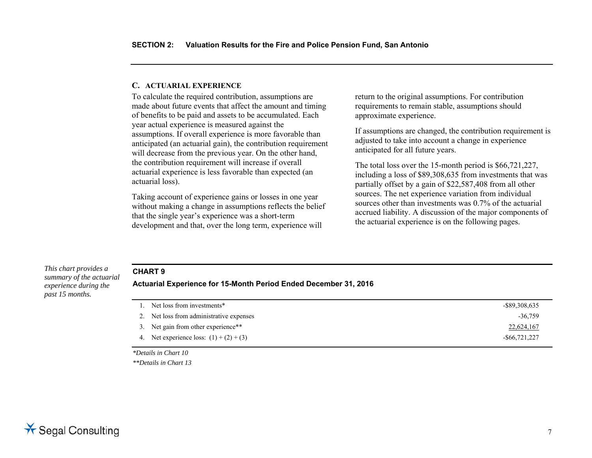### **C. ACTUARIAL EXPERIENCE**

To calculate the required contribution, assumptions are made about future events that affect the amount and timing of benefits to be paid and assets to be accumulated. Each year actual experience is measured against the assumptions. If overall experience is more favorable than anticipated (an actuarial gain), the contribution requirement will decrease from the previous year. On the other hand, the contribution requirement will increase if overall actuarial experience is less favorable than expected (an actuarial loss).

Taking account of experience gains or losses in one year without making a change in assumptions reflects the belief that the single year's experience was a short-term development and that, over the long term, experience will

return to the original assumptions. For contribution requirements to remain stable, assumptions should approximate experience.

If assumptions are changed, the contribution requirement is adjusted to take into account a change in experience anticipated for all future years.

The total loss over the 15-month period is \$66,721,227, including a loss of \$89,308,635 from investments that was partially offset by a gain of \$22,587,408 from all other sources. The net experience variation from individual sources other than investments was 0.7% of the actuarial accrued liability. A discussion of the major components of the actuarial experience is on the following pages.

### **CHART 9**

*summary of the actuarial experience during the past 15 months.* 

*This chart provides a* 

**Actuarial Experience for 15-Month Period Ended December 31, 2016** 

| Net loss from investments*                | -\$89,308,635    |
|-------------------------------------------|------------------|
| 2. Net loss from administrative expenses  | $-36,759$        |
| 3. Net gain from other experience**       | 22,624,167       |
| 4. Net experience loss: $(1) + (2) + (3)$ | $-$ \$66,721,227 |

*\*Details in Chart 10* 

*\*\*Details in Chart 13*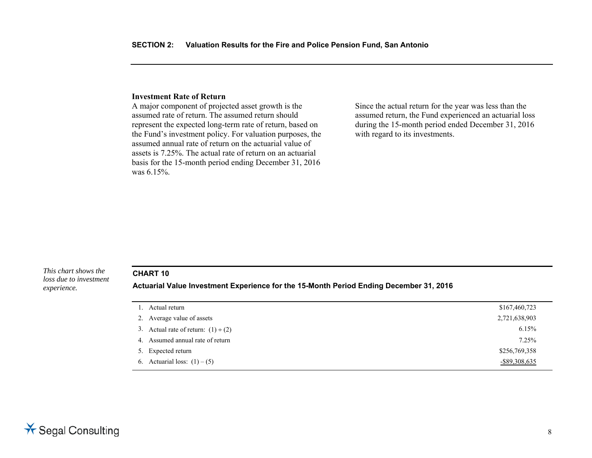#### **Investment Rate of Return**

A major component of projected asset growth is the assumed rate of return. The assumed return should represent the expected long-term rate of return, based on the Fund's investment policy. For valuation purposes, the assumed annual rate of return on the actuarial value of assets is 7.25%. The actual rate of return on an actuarial basis for the 15-month period ending December 31, 2016 was 6.15%.

Since the actual return for the year was less than the assumed return, the Fund experienced an actuarial loss during the 15-month period ended December 31, 2016 with regard to its investments.

*This chart shows the loss due to investment experience.* 

### **CHART 10**

**Actuarial Value Investment Experience for the 15-Month Period Ending December 31, 2016** 

| 1. Actual return                         | \$167,460,723    |
|------------------------------------------|------------------|
| 2. Average value of assets               | 2,721,638,903    |
| 3. Actual rate of return: $(1) \div (2)$ | 6.15%            |
| 4. Assumed annual rate of return         | 7.25%            |
| 5. Expected return                       | \$256,769,358    |
| 6. Actuarial loss: $(1) - (5)$           | $-$ \$89,308,635 |
|                                          |                  |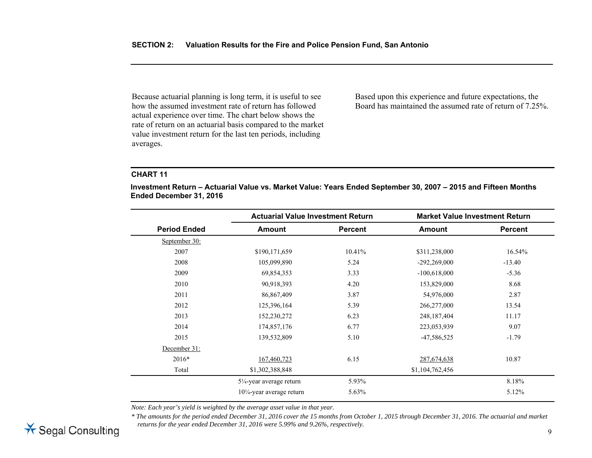Because actuarial planning is long term, it is useful to see how the assumed investment rate of return has followed actual experience over time. The chart below shows the rate of return on an actuarial basis compared to the market value investment return for the last ten periods, including averages.

Based upon this experience and future expectations, the Board has maintained the assumed rate of return of 7.25%.

### **CHART 11**

**Investment Return – Actuarial Value vs. Market Value: Years Ended September 30, 2007 – 2015 and Fifteen Months Ended December 31, 2016** 

| <b>Actuarial Value Investment Return</b> |                |                 |                                       |
|------------------------------------------|----------------|-----------------|---------------------------------------|
| <b>Amount</b>                            | <b>Percent</b> | <b>Amount</b>   | <b>Percent</b>                        |
|                                          |                |                 |                                       |
| \$190,171,659                            | 10.41%         | \$311,238,000   | 16.54%                                |
| 105,099,890                              | 5.24           | $-292,269,000$  | $-13.40$                              |
| 69,854,353                               | 3.33           | $-100,618,000$  | $-5.36$                               |
| 90,918,393                               | 4.20           | 153,829,000     | 8.68                                  |
| 86,867,409                               | 3.87           | 54,976,000      | 2.87                                  |
| 125,396,164                              | 5.39           | 266,277,000     | 13.54                                 |
| 152,230,272                              | 6.23           | 248, 187, 404   | 11.17                                 |
| 174,857,176                              | 6.77           | 223,053,939     | 9.07                                  |
| 139,532,809                              | 5.10           | -47,586,525     | $-1.79$                               |
|                                          |                |                 |                                       |
| 167,460,723                              | 6.15           | 287,674,638     | 10.87                                 |
| \$1,302,388,848                          |                | \$1,104,762,456 |                                       |
| $5\frac{1}{4}$ -year average return      | 5.93%          |                 | 8.18%                                 |
| $10\frac{1}{4}$ -year average return     | $5.63\%$       |                 | 5.12%                                 |
|                                          |                |                 | <b>Market Value Investment Return</b> |

*Note: Each year's yield is weighted by the average asset value in that year.* 

*\* The amounts for the period ended December 31, 2016 cover the 15 months from October 1, 2015 through December 31, 2016. The actuarial and market returns for the year ended December 31, 2016 were 5.99% and 9.26%, respectively.* 

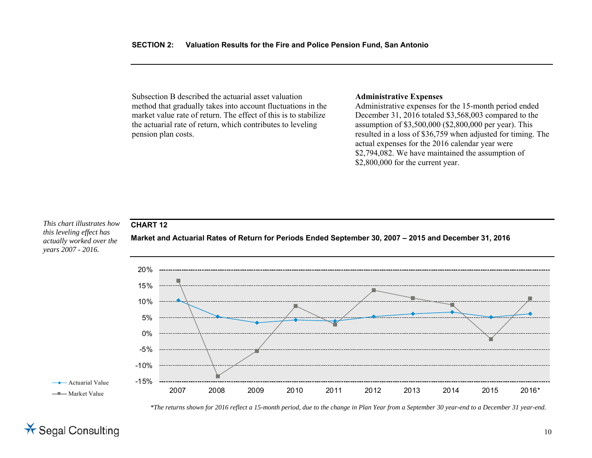Subsection B described the actuarial asset valuation method that gradually takes into account fluctuations in the market value rate of return. The effect of this is to stabilize the actuarial rate of return, which contributes to leveling pension plan costs.

### **Administrative Expenses**

Administrative expenses for the 15-month period ended December 31, 2016 totaled \$3,568,003 compared to the assumption of \$3,500,000 (\$2,800,000 per year). This resulted in a loss of \$36,759 when adjusted for timing. The actual expenses for the 2016 calendar year were \$2,794,082. We have maintained the assumption of \$2,800,000 for the current year.

*This chart illustrates how this leveling effect has actually worked over the years 2007 - 2016.* 

**CHART 12** 



**Market and Actuarial Rates of Return for Periods Ended September 30, 2007 – 2015 and December 31, 2016** 

*\*The returns shown for 2016 reflect a 15-month period, due to the change in Plan Year from a September 30 year-end to a December 31 year-end.*

# $\star$  Segal Consulting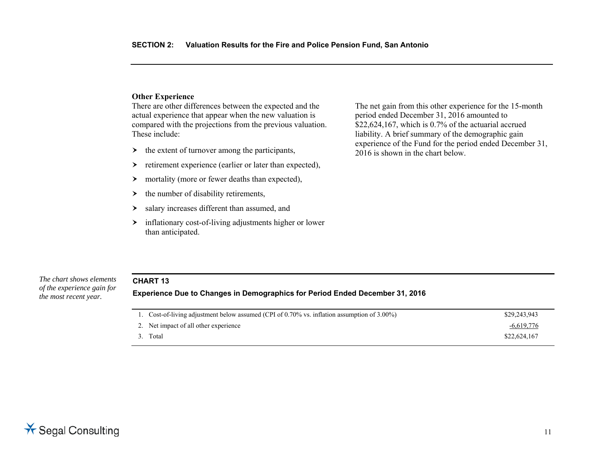### **Other Experience**

There are other differences between the expected and the actual experience that appear when the new valuation is compared with the projections from the previous valuation. These include:

- $\rightarrow$  the extent of turnover among the participants,
- ≻ retirement experience (earlier or later than expected),
- $\left. \right.$ mortality (more or fewer deaths than expected),
- ≻ the number of disability retirements,
- ≻ salary increases different than assumed, and
- inflationary cost-of-living adjustments higher or lower than anticipated.

The net gain from this other experience for the 15-month period ended December 31, 2016 amounted to  $$22,624,167$ , which is 0.7% of the actuarial accrued liability. A brief summary of the demographic gain experience of the Fund for the period ended December 31, 2016 is shown in the chart below.

### *The chart shows elements*

*of the experience gain for the most recent year.* 

### **CHART 13 Experience Due to Changes in Demographics for Period Ended December 31, 2016**

| 1. Cost-of-living adjustment below assumed (CPI of 0.70% vs. inflation assumption of 3.00%) | \$29,243,943 |
|---------------------------------------------------------------------------------------------|--------------|
| 2. Net impact of all other experience                                                       | $-6,619,776$ |
| 3. Total                                                                                    | \$22,624,167 |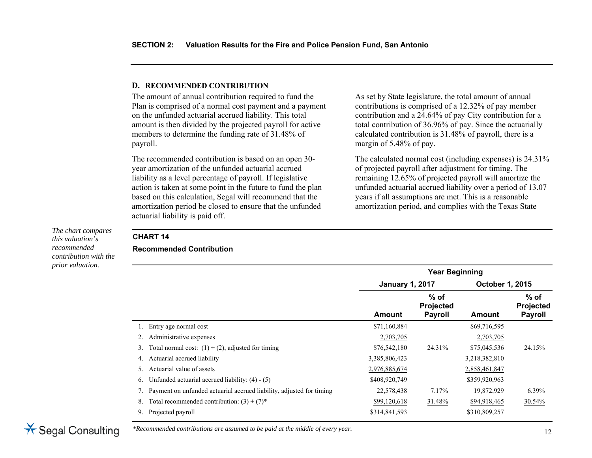### **D. RECOMMENDED CONTRIBUTION**

The amount of annual contribution required to fund the Plan is comprised of a normal cost payment and a payment on the unfunded actuarial accrued liability. This total amount is then divided by the projected payroll for active members to determine the funding rate of 31.48% of payroll.

The recommended contribution is based on an open 30 year amortization of the unfunded actuarial accrued liability as a level percentage of payroll. If legislative action is taken at some point in the future to fund the plan based on this calculation, Segal will recommend that the amortization period be closed to ensure that the unfunded actuarial liability is paid off.

As set by State legislature, the total amount of annual contributions is comprised of a 12.32% of pay member contribution and a 24.64% of pay City contribution for a total contribution of 36.96% of pay. Since the actuarially calculated contribution is 31.48% of payroll, there is a margin of 5.48% of pay.

The calculated normal cost (including expenses) is 24.31% of projected payroll after adjustment for timing. The remaining 12.65% of projected payroll will amortize the unfunded actuarial accrued liability over a period of 13.07 years if all assumptions are met. This is a reasonable amortization period, and complies with the Texas State

*The chart compares this valuation's recommended contribution with the prior valuation.* 

# **CHART 14**

### **Recommended Contribution**

|                                                                      | <b>Year Beginning</b> |                                           |               |                                       |  |
|----------------------------------------------------------------------|-----------------------|-------------------------------------------|---------------|---------------------------------------|--|
|                                                                      |                       | October 1, 2015<br><b>January 1, 2017</b> |               |                                       |  |
|                                                                      | Amount                | $%$ of<br>Projected<br><b>Payroll</b>     | Amount        | $%$ of<br>Projected<br><b>Payroll</b> |  |
| Entry age normal cost                                                | \$71,160,884          |                                           | \$69,716,595  |                                       |  |
| Administrative expenses<br>2.                                        | 2,703,705             |                                           | 2,703,705     |                                       |  |
| Total normal cost: $(1) + (2)$ , adjusted for timing<br>3.           | \$76,542,180          | 24.31%                                    | \$75,045,536  | 24.15%                                |  |
| Actuarial accrued liability<br>4.                                    | 3,385,806,423         |                                           | 3,218,382,810 |                                       |  |
| Actuarial value of assets<br>5.                                      | 2,976,885,674         |                                           | 2,858,461,847 |                                       |  |
| Unfunded actuarial accrued liability: $(4) - (5)$<br>6.              | \$408,920,749         |                                           | \$359,920,963 |                                       |  |
| Payment on unfunded actuarial accrued liability, adjusted for timing | 22,578,438            | 7.17%                                     | 19,872,929    | 6.39%                                 |  |
| Total recommended contribution: $(3) + (7)^*$<br>8.                  | \$99,120,618          | 31.48%                                    | \$94,918,465  | 30.54%                                |  |
| Projected payroll<br>9.                                              | \$314,841,593         |                                           | \$310,809,257 |                                       |  |



*\*Recommended contributions are assumed to be paid at the middle of every year.*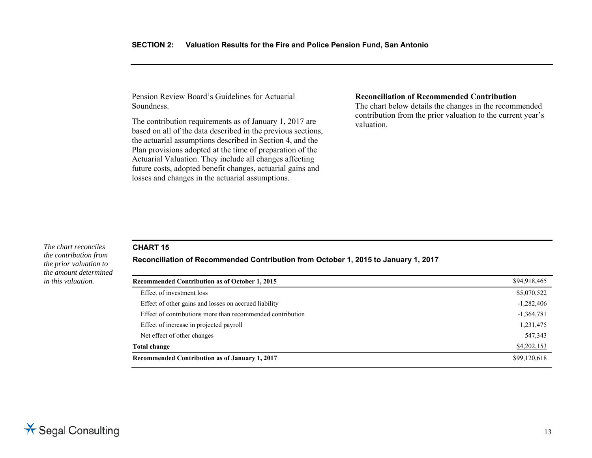Pension Review Board's Guidelines for Actuarial Soundness.

The contribution requirements as of January 1, 2017 are based on all of the data described in the previous sections, the actuarial assumptions described in Section 4, and the Plan provisions adopted at the time of preparation of the Actuarial Valuation. They include all changes affecting future costs, adopted benefit changes, actuarial gains and losses and changes in the actuarial assumptions.

#### **Reconciliation of Recommended Contribution**

The chart below details the changes in the recommended contribution from the prior valuation to the current year's valuation.

### **CHART 15**

**Reconciliation of Recommended Contribution from October 1, 2015 to January 1, 2017**

| Recommended Contribution as of October 1, 2015             | \$94,918,465 |
|------------------------------------------------------------|--------------|
| Effect of investment loss                                  | \$5,070,522  |
| Effect of other gains and losses on accrued liability      | $-1,282,406$ |
| Effect of contributions more than recommended contribution | $-1,364,781$ |
| Effect of increase in projected payroll                    | 1,231,475    |
| Net effect of other changes                                | 547,343      |
| Total change                                               | \$4,202,153  |
| Recommended Contribution as of January 1, 2017             | \$99,120,618 |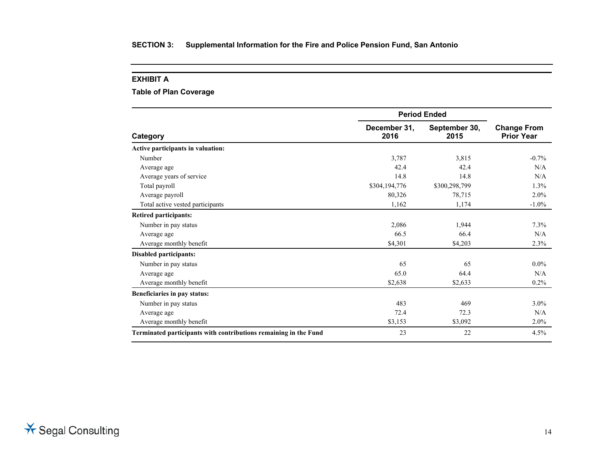### **EXHIBIT A**

### **Table of Plan Coverage**

|                                                                  | <b>Period Ended</b>  |                       |                                         |
|------------------------------------------------------------------|----------------------|-----------------------|-----------------------------------------|
| Category                                                         | December 31,<br>2016 | September 30,<br>2015 | <b>Change From</b><br><b>Prior Year</b> |
| Active participants in valuation:                                |                      |                       |                                         |
| Number                                                           | 3,787                | 3,815                 | $-0.7\%$                                |
| Average age                                                      | 42.4                 | 42.4                  | N/A                                     |
| Average years of service                                         | 14.8                 | 14.8                  | N/A                                     |
| Total payroll                                                    | \$304,194,776        | \$300,298,799         | $1.3\%$                                 |
| Average payroll                                                  | 80,326               | 78,715                | 2.0%                                    |
| Total active vested participants                                 | 1,162                | 1,174                 | $-1.0\%$                                |
| <b>Retired participants:</b>                                     |                      |                       |                                         |
| Number in pay status                                             | 2,086                | 1,944                 | 7.3%                                    |
| Average age                                                      | 66.5                 | 66.4                  | N/A                                     |
| Average monthly benefit                                          | \$4.301              | \$4,203               | 2.3%                                    |
| <b>Disabled participants:</b>                                    |                      |                       |                                         |
| Number in pay status                                             | 65                   | 65                    | $0.0\%$                                 |
| Average age                                                      | 65.0                 | 64.4                  | N/A                                     |
| Average monthly benefit                                          | \$2,638              | \$2,633               | $0.2\%$                                 |
| Beneficiaries in pay status:                                     |                      |                       |                                         |
| Number in pay status                                             | 483                  | 469                   | $3.0\%$                                 |
| Average age                                                      | 72.4                 | 72.3                  | N/A                                     |
| Average monthly benefit                                          | \$3,153              | \$3,092               | 2.0%                                    |
| Terminated participants with contributions remaining in the Fund | 23                   | 22                    | 4.5%                                    |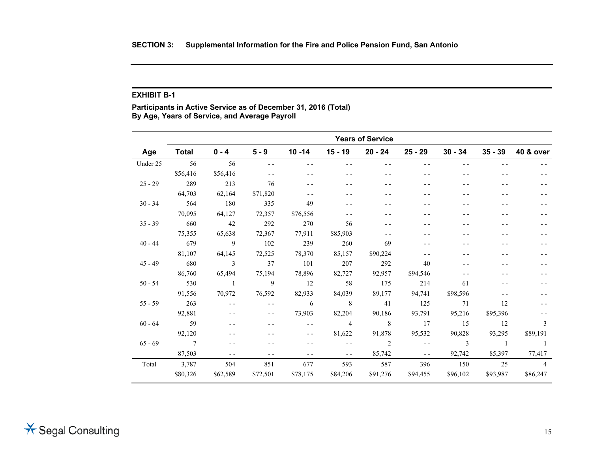#### **EXHIBIT B-1**

**Participants in Active Service as of December 31, 2016 (Total) By Age, Years of Service, and Average Payroll** 

|           | <b>Years of Service</b> |                          |          |               |                |           |               |                |           |                      |
|-----------|-------------------------|--------------------------|----------|---------------|----------------|-----------|---------------|----------------|-----------|----------------------|
| Age       | <b>Total</b>            | $0 - 4$                  | $5 - 9$  | $10 - 14$     | $15 - 19$      | $20 - 24$ | $25 - 29$     | $30 - 34$      | $35 - 39$ | <b>40 &amp; over</b> |
| Under 25  | 56                      | 56                       | $ -$     | $ -$          | $- -$          | - -       | $ -$          | - -            | $ -$      |                      |
|           | \$56,416                | \$56,416                 | $- -$    |               |                |           | $ -$          |                |           |                      |
| $25 - 29$ | 289                     | 213                      | 76       |               |                |           |               |                |           |                      |
|           | 64,703                  | 62,164                   | \$71,820 |               |                |           |               |                |           |                      |
| $30 - 34$ | 564                     | 180                      | 335      | 49            |                |           |               |                |           |                      |
|           | 70,095                  | 64,127                   | 72,357   | \$76,556      | $ -$           |           |               | - -            | - -       |                      |
| $35 - 39$ | 660                     | 42                       | 292      | 270           | 56             |           |               |                |           |                      |
|           | 75,355                  | 65,638                   | 72,367   | 77,911        | \$85,903       | $ -$      | - -           | - -            | - -       |                      |
| $40 - 44$ | 679                     | 9                        | 102      | 239           | 260            | 69        | - -           |                |           |                      |
|           | 81,107                  | 64,145                   | 72,525   | 78,370        | 85,157         | \$90,224  | $ -$          | - -            |           |                      |
| $45 - 49$ | 680                     | $\overline{\phantom{a}}$ | 37       | 101           | 207            | 292       | 40            | - -            |           |                      |
|           | 86,760                  | 65,494                   | 75,194   | 78,896        | 82,727         | 92,957    | \$94,546      | - -            |           |                      |
| $50 - 54$ | 530                     | $\blacksquare$           | 9        | 12            | 58             | 175       | 214           | 61             | - -       |                      |
|           | 91,556                  | 70,972                   | 76,592   | 82,933        | 84,039         | 89,177    | 94,741        | \$98,596       | $ -$      |                      |
| $55 - 59$ | 263                     | $\sim$ $\sim$            | $ -$     | 6             | 8 <sup>8</sup> | 41        | 125           | 71             | 12        |                      |
|           | 92,881                  | $- -$                    | $- -$    | 73,903        | 82,204         | 90,186    | 93,791        | 95,216         | \$95,396  |                      |
| $60 - 64$ | 59                      | - -                      | $ -$     | $\sim$ $\sim$ | $\overline{4}$ | 8         | 17            | 15             | 12        | 3                    |
|           | 92,120                  | $ -$                     | $ -$     | $- -$         | 81,622         | 91,878    | 95,532        | 90,828         | 93,295    | \$89,191             |
| $65 - 69$ | $\overline{7}$          | $- -$                    |          | $ -$          | $\sim$ $\sim$  | 2         | $\sim$ $\sim$ | $\overline{3}$ | $\sim$ 1  | $\overline{1}$       |
|           | 87,503                  | $- -$                    | $ -$     | $ -$          | $ -$           | 85,742    | $\sim$ $\sim$ | 92,742         | 85,397    | 77,417               |
| Total     | 3,787                   | 504                      | 851      | 677           | 593            | 587       | 396           | 150            | 25        | $\overline{4}$       |
|           | \$80,326                | \$62,589                 | \$72,501 | \$78,175      | \$84,206       | \$91,276  | \$94,455      | \$96,102       | \$93,987  | \$86,247             |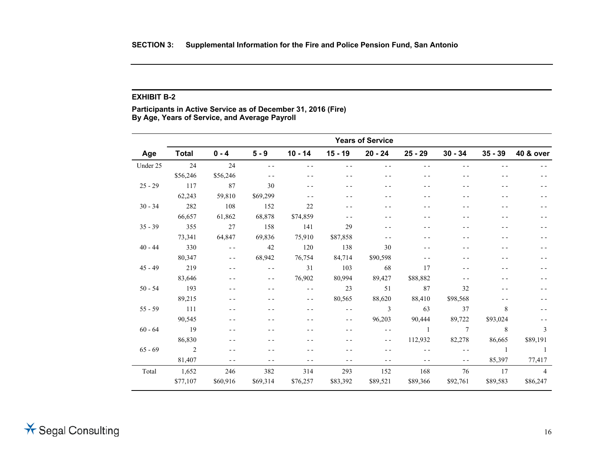#### **EXHIBIT B-2**

**Participants in Active Service as of December 31, 2016 (Fire) By Age, Years of Service, and Average Payroll** 

|           | <b>Years of Service</b>  |               |               |               |           |                |                |                 |                |                      |
|-----------|--------------------------|---------------|---------------|---------------|-----------|----------------|----------------|-----------------|----------------|----------------------|
| Age       | <b>Total</b>             | $0 - 4$       | $5 - 9$       | $10 - 14$     | $15 - 19$ | $20 - 24$      | $25 - 29$      | $30 - 34$       | $35 - 39$      | <b>40 &amp; over</b> |
| Under 25  | 24                       | 24            | $ -$          | $ -$          | $ -$      | $ -$           | $ -$           | $- -$           | - -            |                      |
|           | \$56,246                 | \$56,246      | $ -$          | $ -$          | - -       | $- -$          | $- -$          | - -             | $- -$          |                      |
| $25 - 29$ | 117                      | 87            | 30            | - -           |           | - -            | - -            | - -             |                |                      |
|           | 62,243                   | 59,810        | \$69,299      | $ -$          |           | $ -$           | - -            | - -             | - -            |                      |
| $30 - 34$ | 282                      | 108           | 152           | 22            |           | - -            | - -            | - -             |                |                      |
|           | 66,657                   | 61,862        | 68,878        | \$74,859      | $ -$      | - -            | - -            | - -             | - -            |                      |
| $35 - 39$ | 355                      | 27            | 158           | 141           | 29        | - -            |                | - -             |                |                      |
|           | 73,341                   | 64,847        | 69,836        | 75,910        | \$87,858  | $ -$           | - -            | - -             | - -            |                      |
| $40 - 44$ | 330                      | $\sim$ $\sim$ | 42            | 120           | 138       | 30             |                |                 |                |                      |
|           | 80,347                   | $ -$          | 68,942        | 76,754        | 84,714    | \$90,598       | $ -$           | - -             |                |                      |
| $45 - 49$ | 219                      | $ -$          | $\sim$ $\sim$ | 31            | 103       | 68             | 17             |                 |                |                      |
|           | 83,646                   | $ -$          | $ -$          | 76,902        | 80,994    | 89,427         | \$88,882       | $ -$            |                |                      |
| $50 - 54$ | 193                      | $ -$          | - -           | $\sim$ $\sim$ | 23        | 51             | 87             | 32              | - -            |                      |
|           | 89,215                   | $ -$          | - -           | $ -$          | 80,565    | 88,620         | 88,410         | \$98,568        | - -            |                      |
| $55 - 59$ | 111                      |               |               |               | $ -$      | $\mathfrak{Z}$ | 63             | 37              | 8              |                      |
|           | 90,545                   |               |               | - -           | $- -$     | 96,203         | 90,444         | 89,722          | \$93,024       |                      |
| $60 - 64$ | 19                       | $ -$          |               |               | $- -$     | $\sim$ $\sim$  | $\overline{1}$ | $7\phantom{.0}$ | 8              | 3                    |
|           | 86,830                   | $ -$          |               |               |           | $ -$           | 112,932        | 82,278          | 86,665         | \$89,191             |
| $65 - 69$ | $\overline{\phantom{a}}$ | $ -$          |               |               |           | $ -$           | $\sim$ $\sim$  | $\sim$ $\sim$   | $\overline{1}$ | $\overline{1}$       |
|           | 81,407                   | $ -$          |               | $ -$          | - -       | $ -$           | $ -$           | $ -$            | 85,397         | 77,417               |
| Total     | 1,652                    | 246           | 382           | 314           | 293       | 152            | 168            | 76              | 17             | $\overline{4}$       |
|           | \$77,107                 | \$60,916      | \$69,314      | \$76,257      | \$83,392  | \$89,521       | \$89,366       | \$92,761        | \$89,583       | \$86,247             |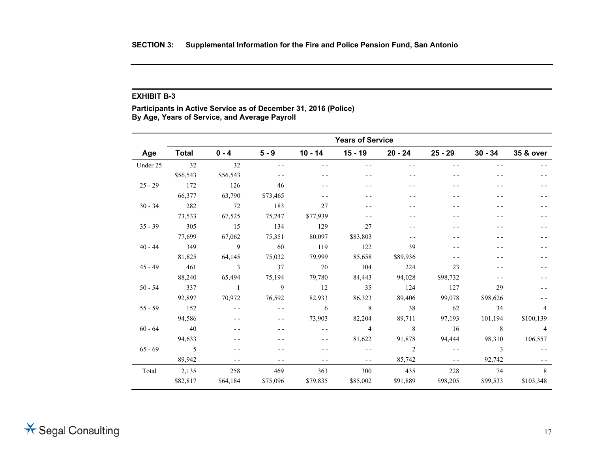#### **EXHIBIT B-3**

**Participants in Active Service as of December 31, 2016 (Police) By Age, Years of Service, and Average Payroll** 

|           | <b>Years of Service</b> |                |          |               |                |                |               |           |                |
|-----------|-------------------------|----------------|----------|---------------|----------------|----------------|---------------|-----------|----------------|
| Age       | <b>Total</b>            | $0 - 4$        | $5 - 9$  | $10 - 14$     | $15 - 19$      | $20 - 24$      | $25 - 29$     | $30 - 34$ | 35 & over      |
| Under 25  | 32                      | 32             | $- -$    | $- -$         | $- -$          |                | - -           | $ -$      |                |
|           | \$56,543                | \$56,543       | $ -$     | $ -$          | - -            | - -            | $ -$          |           |                |
| $25 - 29$ | 172                     | 126            | 46       | $ -$          | - -            | - -            |               |           |                |
|           | 66,377                  | 63,790         | \$73,465 | $ -$          | - -            | - -            | - -           | - -       |                |
| $30 - 34$ | 282                     | 72             | 183      | 27            | - -            | - -            |               |           |                |
|           | 73,533                  | 67,525         | 75,247   | \$77,939      | - -            | - -            | $ -$          | $ -$      |                |
| $35 - 39$ | 305                     | 15             | 134      | 129           | 27             | - -            |               |           |                |
|           | 77,699                  | 67,062         | 75,351   | 80,097        | \$83,803       | - -            | $ -$          | $ -$      |                |
| $40 - 44$ | 349                     | 9              | 60       | 119           | 122            | 39             | - -           | - -       |                |
|           | 81,825                  | 64,145         | 75,032   | 79,999        | 85,658         | \$89,936       | - -           | $ -$      |                |
| $45 - 49$ | 461                     | 3              | 37       | 70            | 104            | 224            | 23            | $ -$      |                |
|           | 88,240                  | 65,494         | 75,194   | 79,780        | 84,443         | 94,028         | \$98,732      | $ -$      |                |
| $50 - 54$ | 337                     | $\overline{1}$ | 9        | 12            | 35             | 124            | 127           | 29        |                |
|           | 92,897                  | 70,972         | 76,592   | 82,933        | 86,323         | 89,406         | 99,078        | \$98,626  |                |
| $55 - 59$ | 152                     | $\sim$ $\sim$  | $ -$     | 6             | 8              | 38             | 62            | 34        | $\overline{4}$ |
|           | 94,586                  | $ -$           | $- -$    | 73,903        | 82,204         | 89,711         | 97,193        | 101,194   | \$100,139      |
| $60 - 64$ | 40                      | $ -$           | $ -$     | $\sim$ $\sim$ | $\overline{4}$ | 8              | 16            | 8         | $\overline{4}$ |
|           | 94,633                  | - -            | - -      | $ -$          | 81,622         | 91,878         | 94,444        | 98,310    | 106,557        |
| $65 - 69$ | $\overline{5}$          | $- -$          | $ -$     | $ -$          | $\sim$ $\sim$  | $\overline{2}$ | $\sim$ $\sim$ | 3         |                |
|           | 89,942                  | $- -$          | $ -$     | $ -$          | $ -$           | 85,742         | $ -$          | 92,742    |                |
| Total     | 2,135                   | 258            | 469      | 363           | 300            | 435            | 228           | 74        | 8              |
|           | \$82,817                | \$64,184       | \$75,096 | \$79,835      | \$85,002       | \$91,889       | \$98,205      | \$99,533  | \$103,348      |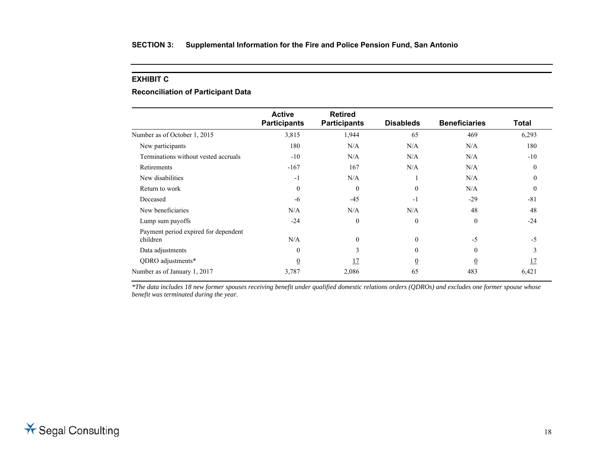### **EXHIBIT C**

### **Reconciliation of Participant Data**

|                                                  | <b>Active</b>       | <b>Retired</b>      |                  |                      |              |
|--------------------------------------------------|---------------------|---------------------|------------------|----------------------|--------------|
|                                                  | <b>Participants</b> | <b>Participants</b> | <b>Disableds</b> | <b>Beneficiaries</b> | <b>Total</b> |
| Number as of October 1, 2015                     | 3,815               | 1,944               | 65               | 469                  | 6,293        |
| New participants                                 | 180                 | N/A                 | N/A              | N/A                  | 180          |
| Terminations without vested accruals             | $-10$               | N/A                 | N/A              | N/A                  | $-10$        |
| Retirements                                      | $-167$              | 167                 | N/A              | N/A                  | $\Omega$     |
| New disabilities                                 | $-1$                | N/A                 |                  | N/A                  |              |
| Return to work                                   | $\theta$            | $\theta$            | $\theta$         | N/A                  | $\theta$     |
| Deceased                                         | -6                  | $-45$               | $-1$             | $-29$                | $-81$        |
| New beneficiaries                                | N/A                 | N/A                 | N/A              | 48                   | 48           |
| Lump sum payoffs                                 | $-24$               | $\mathbf{0}$        | $\theta$         | $\theta$             | $-24$        |
| Payment period expired for dependent<br>children | N/A                 | $\mathbf{0}$        | $\theta$         | $-5$                 | $-5$         |
| Data adjustments                                 | $\Omega$            | 3                   | $\theta$         | $\Omega$             |              |
| QDRO adjustments*                                | $\overline{0}$      | 17                  | $\overline{0}$   | $\overline{0}$       |              |
| Number as of January 1, 2017                     | 3,787               | 2,086               | 65               | 483                  | 6,421        |

*\*The data includes 18 new former spouses receiving benefit under qualified domestic relations orders (QDROs) and excludes one former spouse whose benefit was terminated during the year.*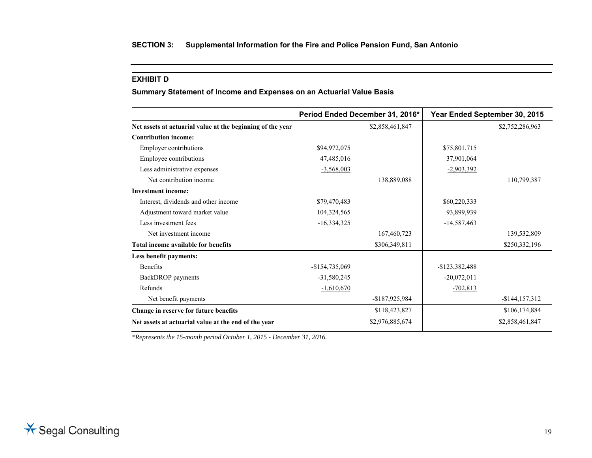#### **EXHIBIT D**

### **Summary Statement of Income and Expenses on an Actuarial Value Basis**

|                                                            |                 | Period Ended December 31, 2016* | Year Ended September 30, 2015 |                 |
|------------------------------------------------------------|-----------------|---------------------------------|-------------------------------|-----------------|
| Net assets at actuarial value at the beginning of the year |                 | \$2,858,461,847                 |                               | \$2,752,286,963 |
| <b>Contribution income:</b>                                |                 |                                 |                               |                 |
| <b>Employer contributions</b>                              | \$94,972,075    |                                 | \$75,801,715                  |                 |
| Employee contributions                                     | 47,485,016      |                                 | 37,901,064                    |                 |
| Less administrative expenses                               | $-3,568,003$    |                                 | $-2,903,392$                  |                 |
| Net contribution income                                    |                 | 138,889,088                     |                               | 110,799,387     |
| <b>Investment income:</b>                                  |                 |                                 |                               |                 |
| Interest, dividends and other income                       | \$79,470,483    |                                 | \$60,220,333                  |                 |
| Adjustment toward market value                             | 104,324,565     |                                 | 93,899,939                    |                 |
| Less investment fees                                       | $-16,334,325$   |                                 | $-14,587,463$                 |                 |
| Net investment income                                      |                 | 167,460,723                     |                               | 139,532,809     |
| Total income available for benefits                        |                 | \$306,349,811                   |                               | \$250,332,196   |
| Less benefit payments:                                     |                 |                                 |                               |                 |
| <b>Benefits</b>                                            | $-$154,735,069$ |                                 | $-$123,382,488$               |                 |
| BackDROP payments                                          | $-31,580,245$   |                                 | $-20,072,011$                 |                 |
| Refunds                                                    | $-1,610,670$    |                                 | $-702,813$                    |                 |
| Net benefit payments                                       |                 | -\$187,925,984                  |                               | $-$144,157,312$ |
| Change in reserve for future benefits                      |                 | \$118,423,827                   |                               | \$106,174,884   |
| Net assets at actuarial value at the end of the year       |                 | \$2,976,885,674                 |                               | \$2,858,461,847 |

*\*Represents the 15-month period October 1, 2015 - December 31, 2016.*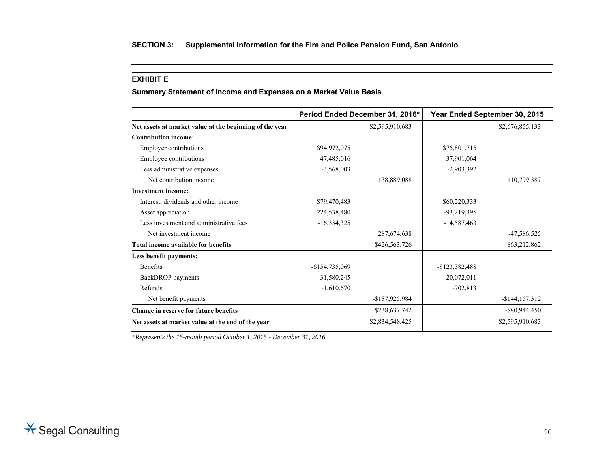#### **EXHIBIT E**

**Summary Statement of Income and Expenses on a Market Value Basis** 

|                                                         | Period Ended December 31, 2016* |                 | Year Ended September 30, 2015 |                   |
|---------------------------------------------------------|---------------------------------|-----------------|-------------------------------|-------------------|
| Net assets at market value at the beginning of the year |                                 | \$2,595,910,683 |                               | \$2,676,855,133   |
| <b>Contribution income:</b>                             |                                 |                 |                               |                   |
| Employer contributions                                  | \$94,972,075                    |                 | \$75,801,715                  |                   |
| Employee contributions                                  | 47,485,016                      |                 | 37,901,064                    |                   |
| Less administrative expenses                            | $-3,568,003$                    |                 | $-2,903,392$                  |                   |
| Net contribution income                                 |                                 | 138,889,088     |                               | 110,799,387       |
| <b>Investment income:</b>                               |                                 |                 |                               |                   |
| Interest, dividends and other income                    | \$79,470,483                    |                 | \$60,220,333                  |                   |
| Asset appreciation                                      | 224,538,480                     |                 | -93,219,395                   |                   |
| Less investment and administrative fees                 | <u>-16,334,325</u>              |                 | <u>-14,587,463</u>            |                   |
| Net investment income                                   |                                 | 287,674,638     |                               | -47,586,525       |
| Total income available for benefits                     |                                 | \$426,563,726   |                               | \$63,212,862      |
| Less benefit payments:                                  |                                 |                 |                               |                   |
| <b>Benefits</b>                                         | $-$154,735,069$                 |                 | $-$123,382,488$               |                   |
| BackDROP payments                                       | $-31,580,245$                   |                 | $-20,072,011$                 |                   |
| Refunds                                                 | $-1,610,670$                    |                 | $-702,813$                    |                   |
| Net benefit payments                                    |                                 | -\$187,925,984  |                               | $-$ \$144,157,312 |
| Change in reserve for future benefits                   |                                 | \$238,637,742   |                               | $-$ \$80,944,450  |
| Net assets at market value at the end of the year       |                                 | \$2,834,548,425 |                               | \$2,595,910,683   |

*\*Represents the 15-month period October 1, 2015 - December 31, 2016.*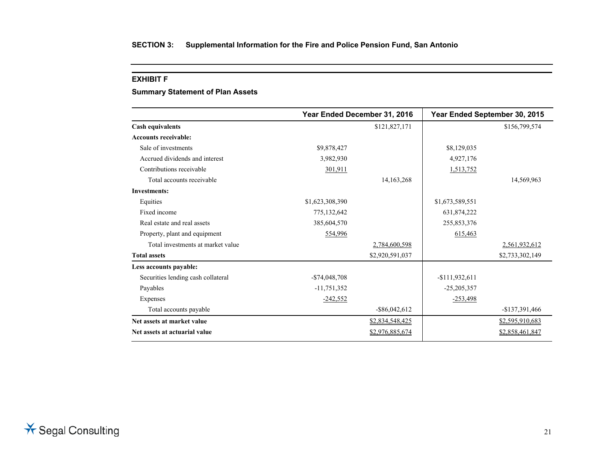#### **EXHIBIT F**

### **Summary Statement of Plan Assets**

|                                    |                 | Year Ended December 31, 2016 |                 | Year Ended September 30, 2015 |
|------------------------------------|-----------------|------------------------------|-----------------|-------------------------------|
| <b>Cash equivalents</b>            |                 | \$121,827,171                |                 | \$156,799,574                 |
| <b>Accounts receivable:</b>        |                 |                              |                 |                               |
| Sale of investments                | \$9,878,427     |                              | \$8,129,035     |                               |
| Accrued dividends and interest     | 3,982,930       |                              | 4,927,176       |                               |
| Contributions receivable           | 301,911         |                              | 1,513,752       |                               |
| Total accounts receivable          |                 | 14, 163, 268                 |                 | 14,569,963                    |
| <b>Investments:</b>                |                 |                              |                 |                               |
| Equities                           | \$1,623,308,390 |                              | \$1,673,589,551 |                               |
| Fixed income                       | 775,132,642     |                              | 631,874,222     |                               |
| Real estate and real assets        | 385,604,570     |                              | 255,853,376     |                               |
| Property, plant and equipment      | 554,996         |                              | 615,463         |                               |
| Total investments at market value  |                 | 2,784,600,598                |                 | 2,561,932,612                 |
| <b>Total assets</b>                |                 | \$2,920,591,037              |                 | \$2,733,302,149               |
| Less accounts payable:             |                 |                              |                 |                               |
| Securities lending cash collateral | $-$74,048,708$  |                              | $-$111,932,611$ |                               |
| Payables                           | $-11,751,352$   |                              | $-25,205,357$   |                               |
| Expenses                           | $-242,552$      |                              | $-253,498$      |                               |
| Total accounts payable             |                 | $-$ \$86,042,612             |                 | $-$137,391,466$               |
| Net assets at market value         |                 | \$2,834,548,425              |                 | \$2,595,910,683               |
| Net assets at actuarial value      |                 | \$2,976,885,674              |                 | \$2,858,461,847               |
|                                    |                 |                              |                 |                               |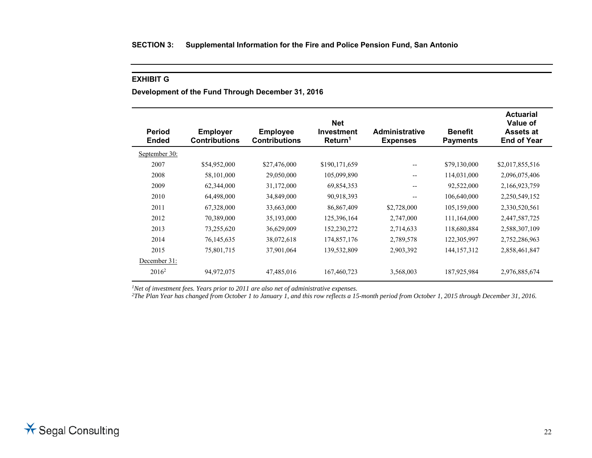### **EXHIBIT G**

**Development of the Fund Through December 31, 2016** 

| <b>Period</b><br><b>Ended</b> | <b>Employer</b><br><b>Contributions</b> | <b>Employee</b><br><b>Contributions</b> | <b>Net</b><br><b>Investment</b><br>Return <sup>1</sup> | <b>Administrative</b><br><b>Expenses</b>            | <b>Benefit</b><br><b>Payments</b> | <b>Actuarial</b><br>Value of<br><b>Assets at</b><br><b>End of Year</b> |
|-------------------------------|-----------------------------------------|-----------------------------------------|--------------------------------------------------------|-----------------------------------------------------|-----------------------------------|------------------------------------------------------------------------|
| September 30:                 |                                         |                                         |                                                        |                                                     |                                   |                                                                        |
| 2007                          | \$54,952,000                            | \$27,476,000                            | \$190,171,659                                          | $\qquad \qquad -$                                   | \$79,130,000                      | \$2,017,855,516                                                        |
| 2008                          | 58,101,000                              | 29,050,000                              | 105,099,890                                            | $\hspace{0.05cm} -\hspace{0.05cm} -\hspace{0.05cm}$ | 114,031,000                       | 2,096,075,406                                                          |
| 2009                          | 62,344,000                              | 31,172,000                              | 69,854,353                                             | $\overline{\phantom{m}}$                            | 92,522,000                        | 2,166,923,759                                                          |
| 2010                          | 64,498,000                              | 34,849,000                              | 90,918,393                                             | $- -$                                               | 106,640,000                       | 2,250,549,152                                                          |
| 2011                          | 67,328,000                              | 33,663,000                              | 86,867,409                                             | \$2,728,000                                         | 105,159,000                       | 2,330,520,561                                                          |
| 2012                          | 70,389,000                              | 35,193,000                              | 125,396,164                                            | 2,747,000                                           | 111,164,000                       | 2,447,587,725                                                          |
| 2013                          | 73,255,620                              | 36,629,009                              | 152,230,272                                            | 2,714,633                                           | 118,680,884                       | 2,588,307,109                                                          |
| 2014                          | 76,145,635                              | 38,072,618                              | 174,857,176                                            | 2,789,578                                           | 122,305,997                       | 2,752,286,963                                                          |
| 2015                          | 75,801,715                              | 37,901,064                              | 139,532,809                                            | 2,903,392                                           | 144, 157, 312                     | 2,858,461,847                                                          |
| December 31:                  |                                         |                                         |                                                        |                                                     |                                   |                                                                        |
| $2016^2$                      | 94,972,075                              | 47,485,016                              | 167,460,723                                            | 3,568,003                                           | 187,925,984                       | 2,976,885,674                                                          |

*1Net of investment fees. Years prior to 2011 are also net of administrative expenses.* 

<sup>2</sup>The Plan Year has changed from October 1 to January 1, and this row reflects a 15-month period from October 1, 2015 through December 31, 2016.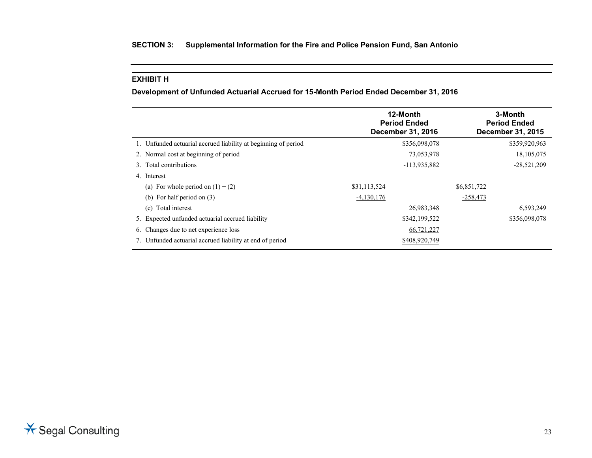### **EXHIBIT H**

**Development of Unfunded Actuarial Accrued for 15-Month Period Ended December 31, 2016** 

|                                                                | 12-Month<br><b>Period Ended</b><br><b>December 31, 2016</b> | 3-Month<br><b>Period Ended</b><br><b>December 31, 2015</b> |
|----------------------------------------------------------------|-------------------------------------------------------------|------------------------------------------------------------|
| 1. Unfunded actuarial accrued liability at beginning of period | \$356,098,078                                               | \$359,920,963                                              |
| 2. Normal cost at beginning of period                          | 73,053,978                                                  | 18, 105, 075                                               |
| 3. Total contributions                                         | -113,935,882                                                | $-28,521,209$                                              |
| 4. Interest                                                    |                                                             |                                                            |
| (a) For whole period on $(1) + (2)$                            | \$31,113,524                                                | \$6,851,722                                                |
| (b) For half period on $(3)$                                   | $-4,130,176$                                                | $-258,473$                                                 |
| (c) Total interest                                             | 26,983,348                                                  | 6,593,249                                                  |
| 5. Expected unfunded actuarial accrued liability               | \$342,199,522                                               | \$356,098,078                                              |
| 6. Changes due to net experience loss                          | 66,721,227                                                  |                                                            |
| 7. Unfunded actuarial accrued liability at end of period       | \$408,920,749                                               |                                                            |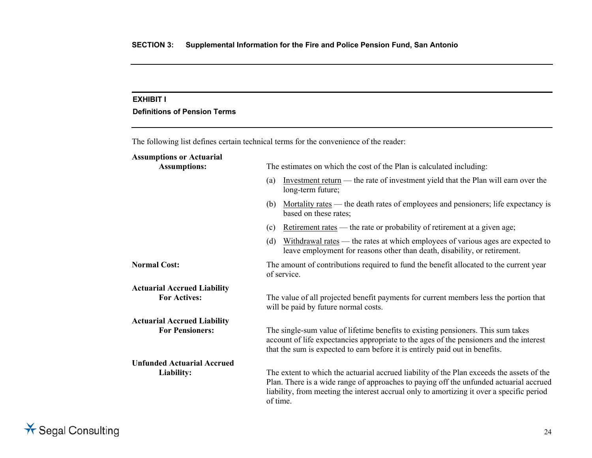### **EXHIBIT I**

### **Definitions of Pension Terms**

The following list defines certain technical terms for the convenience of the reader:

### **Assumptions or Actuarial**

Assumptions:

**Actuarial Accrued Liability** 

**Actuarial Accrued Liability** 

**Unfunded Actuarial Accrued** 

|  | The estimates on which the cost of the Plan is calculated including: |
|--|----------------------------------------------------------------------|
|--|----------------------------------------------------------------------|

- (a) Investment return the rate of investment yield that the Plan will earn over the long-term future;
- (b) Mortality rates the death rates of employees and pensioners; life expectancy is based on these rates;
- (c) Retirement rates the rate or probability of retirement at a given age;
- (d) Withdrawal rates the rates at which employees of various ages are expected to leave employment for reasons other than death, disability, or retirement.

**Normal Cost:** The amount of contributions required to fund the benefit allocated to the current year of service.

**For Actives:** The value of all projected benefit payments for current members less the portion that will be paid by future normal costs.

**For Pensioners:** The single-sum value of lifetime benefits to existing pensioners. This sum takes account of life expectancies appropriate to the ages of the pensioners and the interest that the sum is expected to earn before it is entirely paid out in benefits.

**Liability:** The extent to which the actuarial accrued liability of the Plan exceeds the assets of the Plan. There is a wide range of approaches to paying off the unfunded actuarial accrued liability, from meeting the interest accrual only to amortizing it over a specific period of time.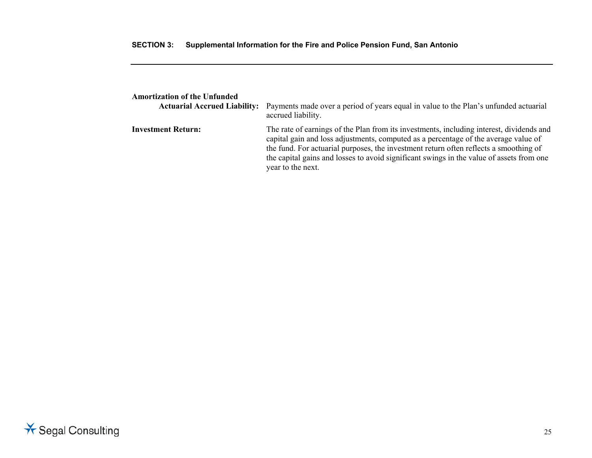| <b>Amortization of the Unfunded</b> | <b>Actuarial Accrued Liability:</b> Payments made over a period of years equal in value to the Plan's unfunded actuarial<br>accrued liability.                                                                                                                                                                                                                                            |
|-------------------------------------|-------------------------------------------------------------------------------------------------------------------------------------------------------------------------------------------------------------------------------------------------------------------------------------------------------------------------------------------------------------------------------------------|
| <b>Investment Return:</b>           | The rate of earnings of the Plan from its investments, including interest, dividends and<br>capital gain and loss adjustments, computed as a percentage of the average value of<br>the fund. For actuarial purposes, the investment return often reflects a smoothing of<br>the capital gains and losses to avoid significant swings in the value of assets from one<br>year to the next. |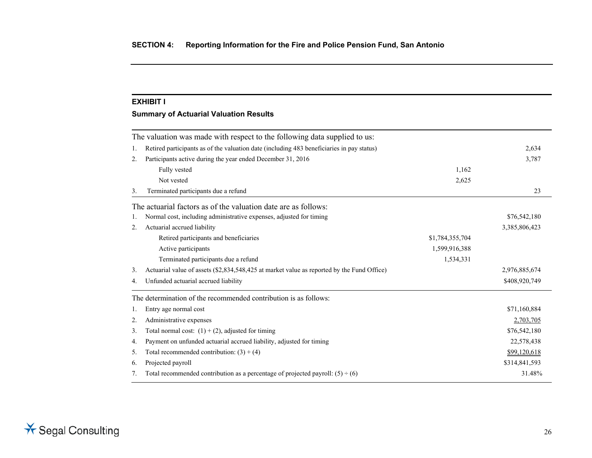#### **EXHIBIT I**

### **Summary of Actuarial Valuation Results**

|    | The valuation was made with respect to the following data supplied to us:                  |                 |               |
|----|--------------------------------------------------------------------------------------------|-----------------|---------------|
| 1. | Retired participants as of the valuation date (including 483 beneficiaries in pay status)  |                 | 2,634         |
| 2. | Participants active during the year ended December 31, 2016                                |                 | 3,787         |
|    | Fully vested                                                                               | 1,162           |               |
|    | Not vested                                                                                 | 2,625           |               |
| 3. | Terminated participants due a refund                                                       |                 | 23            |
|    | The actuarial factors as of the valuation date are as follows:                             |                 |               |
| 1. | Normal cost, including administrative expenses, adjusted for timing                        |                 | \$76,542,180  |
| 2. | Actuarial accrued liability                                                                |                 | 3,385,806,423 |
|    | Retired participants and beneficiaries                                                     | \$1,784,355,704 |               |
|    | Active participants                                                                        | 1,599,916,388   |               |
|    | Terminated participants due a refund                                                       | 1,534,331       |               |
| 3. | Actuarial value of assets (\$2,834,548,425 at market value as reported by the Fund Office) |                 | 2,976,885,674 |
| 4. | Unfunded actuarial accrued liability                                                       |                 | \$408,920,749 |
|    | The determination of the recommended contribution is as follows:                           |                 |               |
| 1. | Entry age normal cost                                                                      |                 | \$71,160,884  |
| 2. | Administrative expenses                                                                    |                 | 2,703,705     |
| 3. | Total normal cost: $(1) + (2)$ , adjusted for timing                                       |                 | \$76,542,180  |
| 4. | Payment on unfunded actuarial accrued liability, adjusted for timing                       |                 | 22,578,438    |
| 5. | Total recommended contribution: $(3) + (4)$                                                |                 | \$99,120,618  |
| 6. | Projected payroll                                                                          |                 | \$314,841,593 |
| 7. | Total recommended contribution as a percentage of projected payroll: $(5) \div (6)$        |                 | 31.48%        |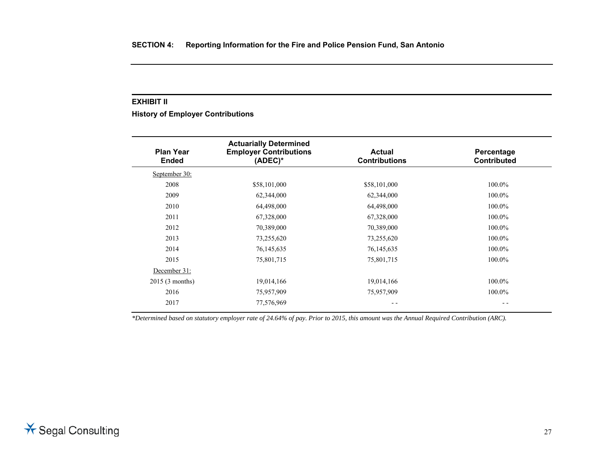#### **EXHIBIT II**

**History of Employer Contributions** 

| <b>Plan Year</b><br><b>Ended</b> | <b>Actuarially Determined</b><br><b>Employer Contributions</b><br>$(ADEC)^*$ | <b>Actual</b><br><b>Contributions</b> | Percentage<br><b>Contributed</b> |
|----------------------------------|------------------------------------------------------------------------------|---------------------------------------|----------------------------------|
| September 30:                    |                                                                              |                                       |                                  |
| 2008                             | \$58,101,000                                                                 | \$58,101,000                          | 100.0%                           |
| 2009                             | 62,344,000                                                                   | 62,344,000                            | 100.0%                           |
| 2010                             | 64,498,000                                                                   | 64,498,000                            | 100.0%                           |
| 2011                             | 67,328,000                                                                   | 67,328,000                            | 100.0%                           |
| 2012                             | 70,389,000                                                                   | 70,389,000                            | 100.0%                           |
| 2013                             | 73,255,620                                                                   | 73,255,620                            | 100.0%                           |
| 2014                             | 76,145,635                                                                   | 76, 145, 635                          | 100.0%                           |
| 2015                             | 75,801,715                                                                   | 75,801,715                            | 100.0%                           |
| December 31:                     |                                                                              |                                       |                                  |
| 2015(3 months)                   | 19,014,166                                                                   | 19,014,166                            | 100.0%                           |
| 2016                             | 75,957,909                                                                   | 75,957,909                            | 100.0%                           |
| 2017                             | 77,576,969                                                                   | - -                                   | - -                              |

*\*Determined based on statutory employer rate of 24.64% of pay. Prior to 2015, this amount was the Annual Required Contribution (ARC).*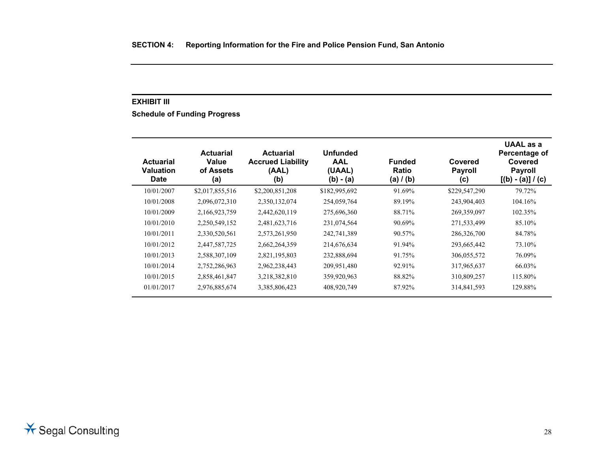#### **EXHIBIT III**

**Schedule of Funding Progress** 

| <b>Actuarial</b><br>Valuation<br><b>Date</b> | <b>Actuarial</b><br>Value<br>of Assets<br>(a) | <b>Actuarial</b><br><b>Accrued Liability</b><br>(AAL)<br>(b) | <b>Unfunded</b><br><b>AAL</b><br>(UAAL)<br>$(b) - (a)$ | <b>Funded</b><br><b>Ratio</b><br>(a) / (b) | Covered<br><b>Payroll</b><br>(c) | UAAL as a<br>Percentage of<br>Covered<br><b>Payroll</b><br>$[(b) - (a)] / (c)$ |
|----------------------------------------------|-----------------------------------------------|--------------------------------------------------------------|--------------------------------------------------------|--------------------------------------------|----------------------------------|--------------------------------------------------------------------------------|
| 10/01/2007                                   | \$2,017,855,516                               | \$2,200,851,208                                              | \$182,995,692                                          | 91.69%                                     | \$229,547,290                    | 79.72%                                                                         |
| 10/01/2008                                   | 2,096,072,310                                 | 2,350,132,074                                                | 254,059,764                                            | 89.19%                                     | 243,904,403                      | 104.16%                                                                        |
| 10/01/2009                                   | 2,166,923,759                                 | 2,442,620,119                                                | 275,696,360                                            | 88.71%                                     | 269,359,097                      | 102.35%                                                                        |
| 10/01/2010                                   | 2,250,549,152                                 | 2,481,623,716                                                | 231,074,564                                            | 90.69%                                     | 271,533,499                      | 85.10%                                                                         |
| 10/01/2011                                   | 2,330,520,561                                 | 2,573,261,950                                                | 242,741,389                                            | 90.57%                                     | 286,326,700                      | 84.78%                                                                         |
| 10/01/2012                                   | 2,447,587,725                                 | 2,662,264,359                                                | 214,676,634                                            | 91.94%                                     | 293,665,442                      | 73.10%                                                                         |
| 10/01/2013                                   | 2,588,307,109                                 | 2,821,195,803                                                | 232,888,694                                            | 91.75%                                     | 306,055,572                      | 76.09%                                                                         |
| 10/01/2014                                   | 2,752,286,963                                 | 2,962,238,443                                                | 209,951,480                                            | 92.91%                                     | 317,965,637                      | 66.03%                                                                         |
| 10/01/2015                                   | 2,858,461,847                                 | 3,218,382,810                                                | 359,920,963                                            | 88.82%                                     | 310,809,257                      | 115.80%                                                                        |
| 01/01/2017                                   | 2,976,885,674                                 | 3,385,806,423                                                | 408,920,749                                            | 87.92%                                     | 314,841,593                      | 129.88%                                                                        |

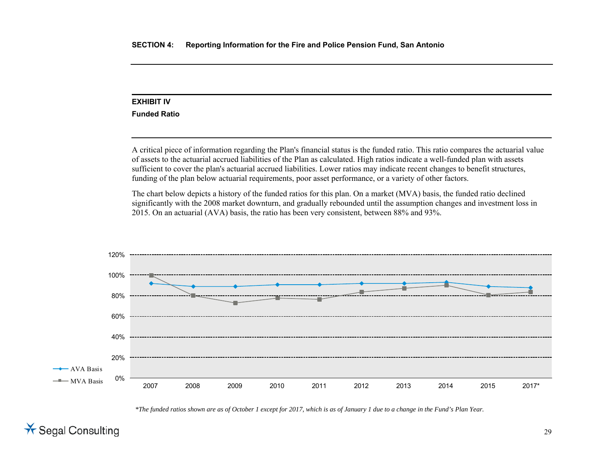# **EXHIBIT IV**

**Funded Ratio** 

A critical piece of information regarding the Plan's financial status is the funded ratio. This ratio compares the actuarial value of assets to the actuarial accrued liabilities of the Plan as calculated. High ratios indicate a well-funded plan with assets sufficient to cover the plan's actuarial accrued liabilities. Lower ratios may indicate recent changes to benefit structures, funding of the plan below actuarial requirements, poor asset performance, or a variety of other factors.

The chart below depicts a history of the funded ratios for this plan. On a market (MVA) basis, the funded ratio declined significantly with the 2008 market downturn, and gradually rebounded until the assumption changes and investment loss in 2015. On an actuarial (AVA) basis, the ratio has been very consistent, between 88% and 93%.



*\*The funded ratios shown are as of October 1 except for 2017, which is as of January 1 due to a change in the Fund's Plan Year.*

 $\star$  Segal Consulting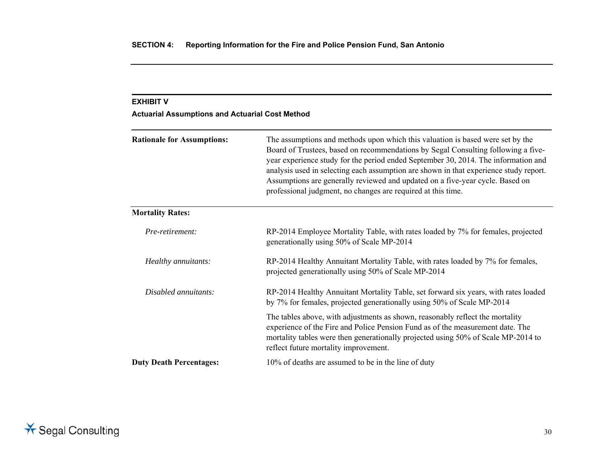# **EXHIBIT V Actuarial Assumptions and Actuarial Cost Method Rationale for Assumptions:** The assumptions and methods upon which this valuation is based were set by the Board of Trustees, based on recommendations by Segal Consulting following a fiveyear experience study for the period ended September 30, 2014. The information and analysis used in selecting each assumption are shown in that experience study report. Assumptions are generally reviewed and updated on a five-year cycle. Based on professional judgment, no changes are required at this time. **Mortality Rates:**  *Pre-retirement:* RP-2014 Employee Mortality Table, with rates loaded by 7% for females, projected generationally using 50% of Scale MP-2014 *Healthy annuitants:* RP-2014 Healthy Annuitant Mortality Table, with rates loaded by 7% for females, projected generationally using 50% of Scale MP-2014 *Disabled annuitants:* RP-2014 Healthy Annuitant Mortality Table, set forward six years, with rates loaded by 7% for females, projected generationally using 50% of Scale MP-2014 The tables above, with adjustments as shown, reasonably reflect the mortality experience of the Fire and Police Pension Fund as of the measurement date. The mortality tables were then generationally projected using 50% of Scale MP-2014 to reflect future mortality improvement. **Duty Death Percentages:** 10% of deaths are assumed to be in the line of duty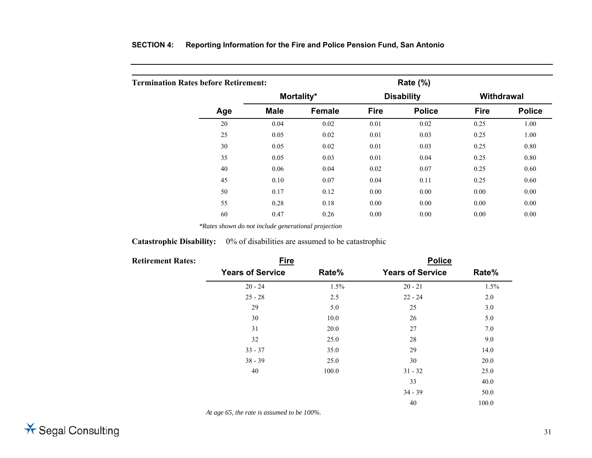|  | SECTION 4: Reporting Information for the Fire and Police Pension Fund, San Antonio |
|--|------------------------------------------------------------------------------------|
|--|------------------------------------------------------------------------------------|

| <b>Termination Rates before Retirement:</b> |     |             |               | Rate $(\%)$ |                   |                   |               |
|---------------------------------------------|-----|-------------|---------------|-------------|-------------------|-------------------|---------------|
|                                             |     |             | Mortality*    |             | <b>Disability</b> | <b>Withdrawal</b> |               |
|                                             | Age | <b>Male</b> | <b>Female</b> | <b>Fire</b> | <b>Police</b>     | <b>Fire</b>       | <b>Police</b> |
|                                             | 20  | 0.04        | 0.02          | 0.01        | 0.02              | 0.25              | 1.00          |
|                                             | 25  | 0.05        | 0.02          | 0.01        | 0.03              | 0.25              | 1.00          |
|                                             | 30  | 0.05        | 0.02          | 0.01        | 0.03              | 0.25              | 0.80          |
|                                             | 35  | 0.05        | 0.03          | 0.01        | 0.04              | 0.25              | 0.80          |
|                                             | 40  | 0.06        | 0.04          | 0.02        | 0.07              | 0.25              | 0.60          |
|                                             | 45  | 0.10        | 0.07          | 0.04        | 0.11              | 0.25              | 0.60          |
|                                             | 50  | 0.17        | 0.12          | 0.00        | 0.00              | 0.00              | 0.00          |
|                                             | 55  | 0.28        | 0.18          | 0.00        | 0.00              | 0.00              | 0.00          |
|                                             | 60  | 0.47        | 0.26          | 0.00        | 0.00              | 0.00              | 0.00          |

*\*Rates shown do not include generational projection* 

### **Catastrophic Disability:** 0% of disabilities are assumed to be catastrophic

| <b>Retirement Rates:</b> | <b>Fire</b>             |       | <b>Police</b>           |       |
|--------------------------|-------------------------|-------|-------------------------|-------|
|                          | <b>Years of Service</b> | Rate% | <b>Years of Service</b> | Rate% |
|                          | $20 - 24$               | 1.5%  | $20 - 21$               | 1.5%  |
|                          | $25 - 28$               | 2.5   | $22 - 24$               | 2.0   |
|                          | 29                      | 5.0   | 25                      | 3.0   |
|                          | 30                      | 10.0  | 26                      | 5.0   |
|                          | 31                      | 20.0  | 27                      | 7.0   |
|                          | 32                      | 25.0  | 28                      | 9.0   |
|                          | $33 - 37$               | 35.0  | 29                      | 14.0  |
|                          | $38 - 39$               | 25.0  | 30                      | 20.0  |
|                          | 40                      | 100.0 | $31 - 32$               | 25.0  |
|                          |                         |       | 33                      | 40.0  |
|                          |                         |       | $34 - 39$               | 50.0  |
|                          |                         |       | 40                      | 100.0 |

*At age 65, the rate is assumed to be 100%.*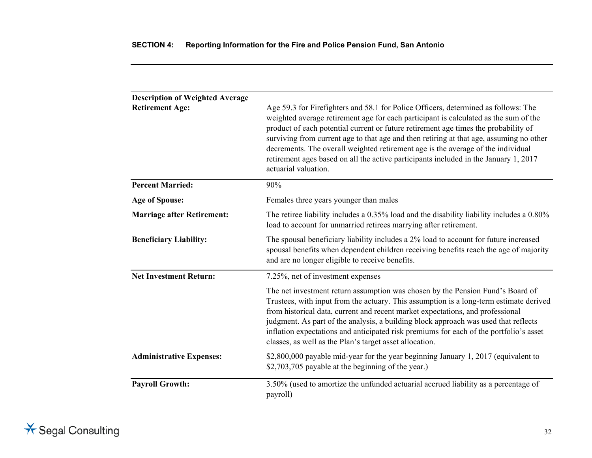| <b>Description of Weighted Average</b> |                                                                                                                                                                                                                                                                                                                                                                                                                                                                                                                                                                  |
|----------------------------------------|------------------------------------------------------------------------------------------------------------------------------------------------------------------------------------------------------------------------------------------------------------------------------------------------------------------------------------------------------------------------------------------------------------------------------------------------------------------------------------------------------------------------------------------------------------------|
| <b>Retirement Age:</b>                 | Age 59.3 for Firefighters and 58.1 for Police Officers, determined as follows: The<br>weighted average retirement age for each participant is calculated as the sum of the<br>product of each potential current or future retirement age times the probability of<br>surviving from current age to that age and then retiring at that age, assuming no other<br>decrements. The overall weighted retirement age is the average of the individual<br>retirement ages based on all the active participants included in the January 1, 2017<br>actuarial valuation. |
| <b>Percent Married:</b>                | 90%                                                                                                                                                                                                                                                                                                                                                                                                                                                                                                                                                              |
| <b>Age of Spouse:</b>                  | Females three years younger than males                                                                                                                                                                                                                                                                                                                                                                                                                                                                                                                           |
| <b>Marriage after Retirement:</b>      | The retiree liability includes a 0.35% load and the disability liability includes a 0.80%<br>load to account for unmarried retirees marrying after retirement.                                                                                                                                                                                                                                                                                                                                                                                                   |
| <b>Beneficiary Liability:</b>          | The spousal beneficiary liability includes a 2% load to account for future increased<br>spousal benefits when dependent children receiving benefits reach the age of majority<br>and are no longer eligible to receive benefits.                                                                                                                                                                                                                                                                                                                                 |
| <b>Net Investment Return:</b>          | 7.25%, net of investment expenses                                                                                                                                                                                                                                                                                                                                                                                                                                                                                                                                |
|                                        | The net investment return assumption was chosen by the Pension Fund's Board of<br>Trustees, with input from the actuary. This assumption is a long-term estimate derived<br>from historical data, current and recent market expectations, and professional<br>judgment. As part of the analysis, a building block approach was used that reflects<br>inflation expectations and anticipated risk premiums for each of the portfolio's asset<br>classes, as well as the Plan's target asset allocation.                                                           |
| <b>Administrative Expenses:</b>        | \$2,800,000 payable mid-year for the year beginning January 1, 2017 (equivalent to<br>\$2,703,705 payable at the beginning of the year.)                                                                                                                                                                                                                                                                                                                                                                                                                         |
| <b>Payroll Growth:</b>                 | 3.50% (used to amortize the unfunded actuarial accrued liability as a percentage of<br>payroll)                                                                                                                                                                                                                                                                                                                                                                                                                                                                  |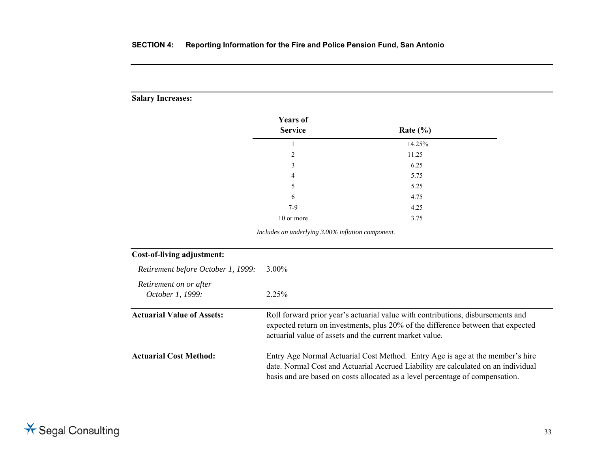### **Salary Increases:**

| Rate $(\% )$ |  |
|--------------|--|
| 14.25%       |  |
| 11.25        |  |
| 6.25         |  |
| 5.75         |  |
| 5.25         |  |
| 4.75         |  |
| 4.25         |  |
| 3.75         |  |
|              |  |

*Includes an underlying 3.00% inflation component.* 

| <b>Cost-of-living adjustment:</b>          |                                                                                                                                                                                                                                                     |
|--------------------------------------------|-----------------------------------------------------------------------------------------------------------------------------------------------------------------------------------------------------------------------------------------------------|
| Retirement before October 1, 1999:         | 3.00%                                                                                                                                                                                                                                               |
| Retirement on or after<br>October 1, 1999: | $2.25\%$                                                                                                                                                                                                                                            |
| <b>Actuarial Value of Assets:</b>          | Roll forward prior year's actuarial value with contributions, disbursements and<br>expected return on investments, plus 20% of the difference between that expected<br>actuarial value of assets and the current market value.                      |
| <b>Actuarial Cost Method:</b>              | Entry Age Normal Actuarial Cost Method. Entry Age is age at the member's hire<br>date. Normal Cost and Actuarial Accrued Liability are calculated on an individual<br>basis and are based on costs allocated as a level percentage of compensation. |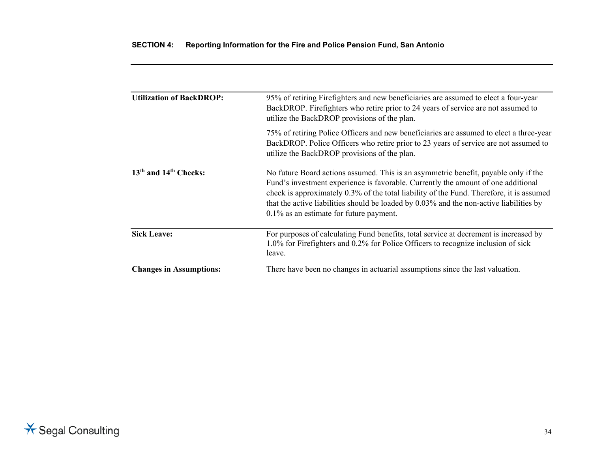| <b>Utilization of BackDROP:</b>               | 95% of retiring Firefighters and new beneficiaries are assumed to elect a four-year<br>BackDROP. Firefighters who retire prior to 24 years of service are not assumed to<br>utilize the BackDROP provisions of the plan.                                                                                                                                                                                      |  |  |
|-----------------------------------------------|---------------------------------------------------------------------------------------------------------------------------------------------------------------------------------------------------------------------------------------------------------------------------------------------------------------------------------------------------------------------------------------------------------------|--|--|
|                                               | 75% of retiring Police Officers and new beneficiaries are assumed to elect a three-year<br>BackDROP. Police Officers who retire prior to 23 years of service are not assumed to<br>utilize the BackDROP provisions of the plan.                                                                                                                                                                               |  |  |
| 13 <sup>th</sup> and 14 <sup>th</sup> Checks: | No future Board actions assumed. This is an asymmetric benefit, payable only if the<br>Fund's investment experience is favorable. Currently the amount of one additional<br>check is approximately 0.3% of the total liability of the Fund. Therefore, it is assumed<br>that the active liabilities should be loaded by 0.03% and the non-active liabilities by<br>$0.1\%$ as an estimate for future payment. |  |  |
| <b>Sick Leave:</b>                            | For purposes of calculating Fund benefits, total service at decrement is increased by<br>1.0% for Firefighters and 0.2% for Police Officers to recognize inclusion of sick<br>leave.                                                                                                                                                                                                                          |  |  |
| <b>Changes in Assumptions:</b>                | There have been no changes in actuarial assumptions since the last valuation.                                                                                                                                                                                                                                                                                                                                 |  |  |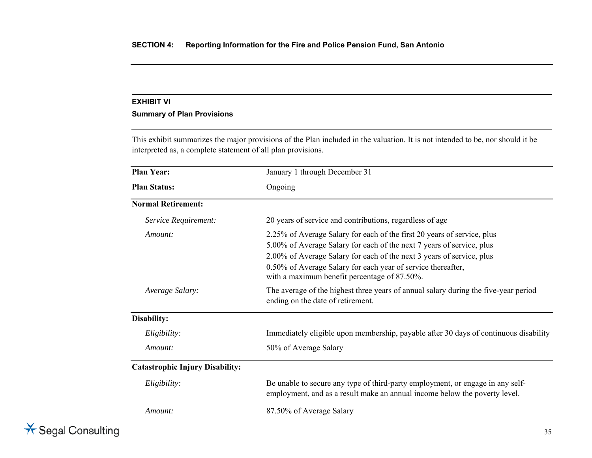### **EXHIBIT VI**

### **Summary of Plan Provisions**

This exhibit summarizes the major provisions of the Plan included in the valuation. It is not intended to be, nor should it be interpreted as, a complete statement of all plan provisions.

| <b>Plan Year:</b>                      | January 1 through December 31<br>Ongoing                                                                                                                                                                                                                                                                                                  |  |  |
|----------------------------------------|-------------------------------------------------------------------------------------------------------------------------------------------------------------------------------------------------------------------------------------------------------------------------------------------------------------------------------------------|--|--|
| <b>Plan Status:</b>                    |                                                                                                                                                                                                                                                                                                                                           |  |  |
| <b>Normal Retirement:</b>              |                                                                                                                                                                                                                                                                                                                                           |  |  |
| Service Requirement:                   | 20 years of service and contributions, regardless of age                                                                                                                                                                                                                                                                                  |  |  |
| Amount:                                | 2.25% of Average Salary for each of the first 20 years of service, plus<br>5.00% of Average Salary for each of the next 7 years of service, plus<br>2.00% of Average Salary for each of the next 3 years of service, plus<br>0.50% of Average Salary for each year of service thereafter,<br>with a maximum benefit percentage of 87.50%. |  |  |
| Average Salary:                        | The average of the highest three years of annual salary during the five-year period<br>ending on the date of retirement.                                                                                                                                                                                                                  |  |  |
| Disability:                            |                                                                                                                                                                                                                                                                                                                                           |  |  |
| Eligibility:                           | Immediately eligible upon membership, payable after 30 days of continuous disability                                                                                                                                                                                                                                                      |  |  |
| Amount:                                | 50% of Average Salary                                                                                                                                                                                                                                                                                                                     |  |  |
| <b>Catastrophic Injury Disability:</b> |                                                                                                                                                                                                                                                                                                                                           |  |  |
| Eligibility:                           | Be unable to secure any type of third-party employment, or engage in any self-<br>employment, and as a result make an annual income below the poverty level.                                                                                                                                                                              |  |  |
| Amount:                                | 87.50% of Average Salary                                                                                                                                                                                                                                                                                                                  |  |  |

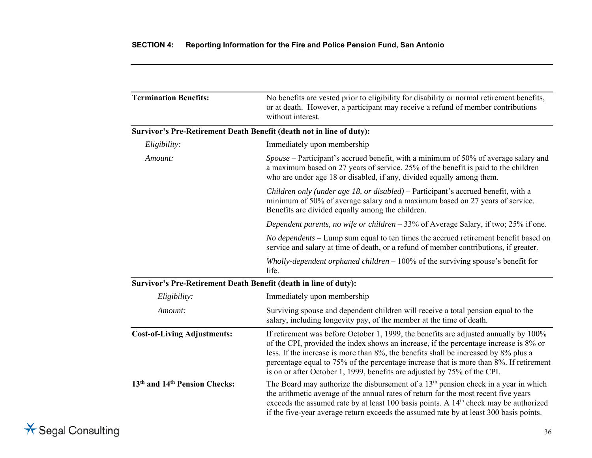| <b>Termination Benefits:</b>                                     | No benefits are vested prior to eligibility for disability or normal retirement benefits,<br>or at death. However, a participant may receive a refund of member contributions<br>without interest.                                                                                                                                                                                                                                         |
|------------------------------------------------------------------|--------------------------------------------------------------------------------------------------------------------------------------------------------------------------------------------------------------------------------------------------------------------------------------------------------------------------------------------------------------------------------------------------------------------------------------------|
|                                                                  | Survivor's Pre-Retirement Death Benefit (death not in line of duty):                                                                                                                                                                                                                                                                                                                                                                       |
| Eligibility:                                                     | Immediately upon membership                                                                                                                                                                                                                                                                                                                                                                                                                |
| Amount:                                                          | Spouse – Participant's accrued benefit, with a minimum of 50% of average salary and<br>a maximum based on 27 years of service. 25% of the benefit is paid to the children<br>who are under age 18 or disabled, if any, divided equally among them.                                                                                                                                                                                         |
|                                                                  | Children only (under age 18, or disabled) - Participant's accrued benefit, with a<br>minimum of 50% of average salary and a maximum based on 27 years of service.<br>Benefits are divided equally among the children.                                                                                                                                                                                                                      |
|                                                                  | Dependent parents, no wife or children $-33%$ of Average Salary, if two; 25% if one.                                                                                                                                                                                                                                                                                                                                                       |
|                                                                  | <i>No dependents</i> – Lump sum equal to ten times the accrued retirement benefit based on<br>service and salary at time of death, or a refund of member contributions, if greater.                                                                                                                                                                                                                                                        |
|                                                                  | Wholly-dependent orphaned children $-100\%$ of the surviving spouse's benefit for<br>life.                                                                                                                                                                                                                                                                                                                                                 |
| Survivor's Pre-Retirement Death Benefit (death in line of duty): |                                                                                                                                                                                                                                                                                                                                                                                                                                            |
| Eligibility:                                                     | Immediately upon membership                                                                                                                                                                                                                                                                                                                                                                                                                |
| Amount:                                                          | Surviving spouse and dependent children will receive a total pension equal to the<br>salary, including longevity pay, of the member at the time of death.                                                                                                                                                                                                                                                                                  |
| <b>Cost-of-Living Adjustments:</b>                               | If retirement was before October 1, 1999, the benefits are adjusted annually by 100%<br>of the CPI, provided the index shows an increase, if the percentage increase is 8% or<br>less. If the increase is more than 8%, the benefits shall be increased by 8% plus a<br>percentage equal to 75% of the percentage increase that is more than 8%. If retirement<br>is on or after October 1, 1999, benefits are adjusted by 75% of the CPI. |
| 13 <sup>th</sup> and 14 <sup>th</sup> Pension Checks:            | The Board may authorize the disbursement of a $13th$ pension check in a year in which<br>the arithmetic average of the annual rates of return for the most recent five years<br>exceeds the assumed rate by at least 100 basis points. A 14 <sup>th</sup> check may be authorized<br>if the five-year average return exceeds the assumed rate by at least 300 basis points.                                                                |